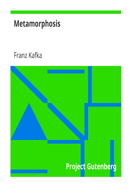# **Metamorphosis**

## Franz Kafka

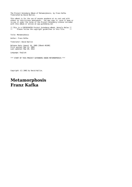The Project Gutenberg EBook of Metamorphosis, by Franz Kafka Translated by David Wyllie.

This eBook is for the use of anyone anywhere at no cost and with almost no restrictions whatsoever. You may copy it, give it away or re-use it under the terms of the Project Gutenberg License included with this eBook or online at www.gutenberg.net

\*\* This is a COPYRIGHTED Project Gutenberg eBook, Details Below \*\* \*\* Please follow the copyright guidelines in this file. \*\*

Title: Metamorphosis

Author: Franz Kafka

Translator: David Wyllie

Release Date: August 16, 2005 [EBook #5200] First posted: May 13, 2002 Last updated: May 20, 2012

Language: English

\*\*\* START OF THIS PROJECT GUTENBERG EBOOK METAMORPHOSIS \*\*\*

Copyright (C) 2002 by David Wyllie.

### **Metamorphosis Franz Kafka**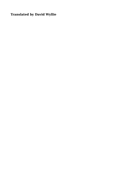**Translated by David Wyllie**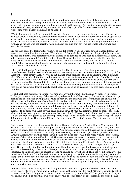#### **I**

One morning, when Gregor Samsa woke from troubled dreams, he found himself transformed in his bed into a horrible vermin. He lay on his armour-like back, and if he lifted his head a little he could see his brown belly, slightly domed and divided by arches into stiff sections. The bedding was hardly able to cover it and seemed ready to slide off any moment. His many legs, pitifully thin compared with the size of the rest of him, waved about helplessly as he looked.

"What's happened to me?" he thought. It wasn't a dream. His room, a proper human room although a little too small, lay peacefully between its four familiar walls. A collection of textile samples lay spread out on the table - Samsa was a travelling salesman - and above it there hung a picture that he had recently cut out of an illustrated magazine and housed in a nice, gilded frame. It showed a lady fitted out with a fur hat and fur boa who sat upright, raising a heavy fur muff that covered the whole of her lower arm towards the viewer.

Gregor then turned to look out the window at the dull weather. Drops of rain could be heard hitting the pane, which made him feel quite sad. "How about if I sleep a little bit longer and forget all this nonsense", he thought, but that was something he was unable to do because he was used to sleeping on his right, and in his present state couldn't get into that position. However hard he threw himself onto his right, he always rolled back to where he was. He must have tried it a hundred times, shut his eyes so that he wouldn't have to look at the floundering legs, and only stopped when he began to feel a mild, dull pain there that he had never felt before.

"Oh, God", he thought, "what a strenuous career it is that I've chosen! Travelling day in and day out. Doing business like this takes much more effort than doing your own business at home, and on top of that there's the curse of travelling, worries about making train connections, bad and irregular food, contact with different people all the time so that you can never get to know anyone or become friendly with them. It can all go to Hell!" He felt a slight itch up on his belly; pushed himself slowly up on his back towards the headboard so that he could lift his head better; found where the itch was, and saw that it was covered with lots of little white spots which he didn't know what to make of; and when he tried to feel the place with one of his legs he drew it quickly back because as soon as he touched it he was overcome by a cold shudder.

He slid back into his former position. "Getting up early all the time", he thought, "it makes you stupid. You've got to get enough sleep. Other travelling salesmen live a life of luxury. For instance, whenever I go back to the guest house during the morning to copy out the contract, these gentlemen are always still sitting there eating their breakfasts. I ought to just try that with my boss; I'd get kicked out on the spot. But who knows, maybe that would be the best thing for me. If I didn't have my parents to think about I'd have given in my notice a long time ago, I'd have gone up to the boss and told him just what I think, tell him everything I would, let him know just what I feel. He'd fall right off his desk! And it's a funny sort of business to be sitting up there at your desk, talking down at your subordinates from up there, especially when you have to go right up close because the boss is hard of hearing. Well, there's still some hope; once I've got the money together to pay off my parents' debt to him - another five or six years I suppose - that's definitely what I'll do. That's when I'll make the big change. First of all though, I've got to get up, my train leaves at five."

And he looked over at the alarm clock, ticking on the chest of drawers. "God in Heaven!" he thought. It was half past six and the hands were quietly moving forwards, it was even later than half past, more like quarter to seven. Had the alarm clock not rung? He could see from the bed that it had been set for four o'clock as it should have been; it certainly must have rung. Yes, but was it possible to quietly sleep through that furniture-rattling noise? True, he had not slept peacefully, but probably all the more deeply because of that. What should he do now? The next train went at seven; if he were to catch that he would have to rush like mad and the collection of samples was still not packed, and he did not at all feel particularly fresh and lively. And even if he did catch the train he would not avoid his boss's anger as the office assistant would have been there to see the five o'clock train go, he would have put in his report about Gregor's not being there a long time ago. The office assistant was the boss's man, spineless, and with no understanding. What about if he reported sick? But that would be extremely strained and suspicious as in fifteen years of service Gregor had never once yet been ill. His boss would certainly come round with the doctor from the medical insurance company, accuse his parents of having a lazy son, and accept the doctor's recommendation not to make any claim as the doctor believed that no-one was ever ill but that many were workshy. And what's more, would he have been entirely wrong in this case? Gregor did in fact, apart from excessive sleepiness after sleeping for so long, feel completely well and even felt much hungrier than usual.

He was still hurriedly thinking all this through, unable to decide to get out of the bed, when the clock struck quarter to seven. There was a cautious knock at the door near his head. "Gregor", somebody called - it was his mother - "it's quarter to seven. Didn't you want to go somewhere?" That gentle voice! Gregor was shocked when he heard his own voice answering, it could hardly be recognised as the voice he had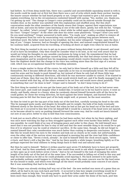had before. As if from deep inside him, there was a painful and uncontrollable squeaking mixed in with it, the words could be made out at first but then there was a sort of echo which made them unclear, leaving the hearer unsure whether he had heard properly or not. Gregor had wanted to give a full answer and explain everything, but in the circumstances contented himself with saying: "Yes, mother, yes, thank-you, I'm getting up now." The change in Gregor's voice probably could not be noticed outside through the wooden door, as his mother was satisfied with this explanation and shuffled away. But this short conversation made the other members of the family aware that Gregor, against their expectations was still at home, and soon his father came knocking at one of the side doors, gently, but with his fist. "Gregor, Gregor", he called, "what's wrong?" And after a short while he called again with a warning deepness in his voice: "Gregor! Gregor!" At the other side door his sister came plaintively: "Gregor? Aren't you well? Do you need anything?" Gregor answered to both sides: "I'm ready, now", making an effort to remove all the strangeness from his voice by enunciating very carefully and putting long pauses between each, individual word. His father went back to his breakfast, but his sister whispered: "Gregor, open the door, I beg of you." Gregor, however, had no thought of opening the door, and instead congratulated himself for his cautious habit, acquired from his travelling, of locking all doors at night even when he was at home.

The first thing he wanted to do was to get up in peace without being disturbed, to get dressed, and most of all to have his breakfast. Only then would he consider what to do next, as he was well aware that he would not bring his thoughts to any sensible conclusions by lying in bed. He remembered that he had often felt a slight pain in bed, perhaps caused by lying awkwardly, but that had always turned out to be pure imagination and he wondered how his imaginings would slowly resolve themselves today. He did not have the slightest doubt that the change in his voice was nothing more than the first sign of a serious cold, which was an occupational hazard for travelling salesmen.

It was a simple matter to throw off the covers; he only had to blow himself up a little and they fell off by themselves. But it became difficult after that, especially as he was so exceptionally broad. He would have used his arms and his hands to push himself up; but instead of them he only had all those little legs continuously moving in different directions, and which he was moreover unable to control. If he wanted to bend one of them, then that was the first one that would stretch itself out; and if he finally managed to do what he wanted with that leg, all the others seemed to be set free and would move about painfully. "This is something that can't be done in bed", Gregor said to himself, "so don't keep trying to do it".

The first thing he wanted to do was get the lower part of his body out of the bed, but he had never seen this lower part, and could not imagine what it looked like; it turned out to be too hard to move; it went so slowly; and finally, almost in a frenzy, when he carelessly shoved himself forwards with all the force he could gather, he chose the wrong direction, hit hard against the lower bedpost, and learned from the burning pain he felt that the lower part of his body might well, at present, be the most sensitive.

So then he tried to get the top part of his body out of the bed first, carefully turning his head to the side. This he managed quite easily, and despite its breadth and its weight, the bulk of his body eventually followed slowly in the direction of the head. But when he had at last got his head out of the bed and into the fresh air it occurred to him that if he let himself fall it would be a miracle if his head were not injured, so he became afraid to carry on pushing himself forward the same way. And he could not knock himself out now at any price; better to stay in bed than lose consciousness.

It took just as much effort to get back to where he had been earlier, but when he lay there sighing, and was once more watching his legs as they struggled against each other even harder than before, if that was possible, he could think of no way of bringing peace and order to this chaos. He told himself once more that it was not possible for him to stay in bed and that the most sensible thing to do would be to get free of it in whatever way he could at whatever sacrifice. At the same time, though, he did not forget to remind himself that calm consideration was much better than rushing to desperate conclusions. At times like this he would direct his eyes to the window and look out as clearly as he could, but unfortunately, even the other side of the narrow street was enveloped in morning fog and the view had little confidence or cheer to offer him. "Seven o'clock, already", he said to himself when the clock struck again, "seven o'clock, and there's still a fog like this." And he lay there quietly a while longer, breathing lightly as if he perhaps expected the total stillness to bring things back to their real and natural state.

But then he said to himself: "Before it strikes quarter past seven I'll definitely have to have got properly out of bed. And by then somebody will have come round from work to ask what's happened to me as well, as they open up at work before seven o'clock." And so he set himself to the task of swinging the entire length of his body out of the bed all at the same time. If he succeeded in falling out of bed in this way and kept his head raised as he did so he could probably avoid injuring it. His back seemed to be quite hard, and probably nothing would happen to it falling onto the carpet. His main concern was for the loud noise he was bound to make, and which even through all the doors would probably raise concern if not alarm. But it was something that had to be risked.

When Gregor was already sticking half way out of the bed - the new method was more of a game than an effort, all he had to do was rock back and forth - it occurred to him how simple everything would be if somebody came to help him. Two strong people - he had his father and the maid in mind - would have been more than enough; they would only have to push their arms under the dome of his back, peel him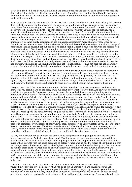away from the bed, bend down with the load and then be patient and careful as he swang over onto the floor, where, hopefully, the little legs would find a use. Should he really call for help though, even apart from the fact that all the doors were locked? Despite all the difficulty he was in, he could not suppress a smile at this thought.

After a while he had already moved so far across that it would have been hard for him to keep his balance if he rocked too hard. The time was now ten past seven and he would have to make a final decision very soon. Then there was a ring at the door of the flat. "That'll be someone from work", he said to himself, and froze very still, although his little legs only became all the more lively as they danced around. For a moment everything remained quiet. "They're not opening the door", Gregor said to himself, caught in some nonsensical hope. But then of course, the maid's firm steps went to the door as ever and opened it. Gregor only needed to hear the visitor's first words of greeting and he knew who it was - the chief clerk himself. Why did Gregor have to be the only one condemned to work for a company where they immediately became highly suspicious at the slightest shortcoming? Were all employees, every one of them, louts, was there not one of them who was faithful and devoted who would go so mad with pangs of conscience that he couldn't get out of bed if he didn't spend at least a couple of hours in the morning on company business? Was it really not enough to let one of the trainees make enquiries - assuming enquiries were even necessary - did the chief clerk have to come himself, and did they have to show the whole, innocent family that this was so suspicious that only the chief clerk could be trusted to have the wisdom to investigate it? And more because these thoughts had made him upset than through any proper decision, he swang himself with all his force out of the bed. There was a loud thump, but it wasn't really a loud noise. His fall was softened a little by the carpet, and Gregor's back was also more elastic than he had thought, which made the sound muffled and not too noticeable. He had not held his head carefully enough, though, and hit it as he fell; annoyed and in pain, he turned it and rubbed it against the carpet.

"Something's fallen down in there", said the chief clerk in the room on the left. Gregor tried to imagine whether something of the sort that had happened to him today could ever happen to the chief clerk too; you had to concede that it was possible. But as if in gruff reply to this question, the chief clerk's firm footsteps in his highly polished boots could now be heard in the adjoining room. From the room on his right, Gregor's sister whispered to him to let him know: "Gregor, the chief clerk is here." "Yes, I know", said Gregor to himself; but without daring to raise his voice loud enough for his sister to hear him.

"Gregor", said his father now from the room to his left, "the chief clerk has come round and wants to know why you didn't leave on the early train. We don't know what to say to him. And anyway, he wants to speak to you personally. So please open up this door. I'm sure he'll be good enough to forgive the untidiness of your room." Then the chief clerk called "Good morning, Mr. Samsa". "He isn't well", said his mother to the chief clerk, while his father continued to speak through the door. "He isn't well, please believe me. Why else would Gregor have missed a train! The lad only ever thinks about the business. It nearly makes me cross the way he never goes out in the evenings; he's been in town for a week now but stayed home every evening. He sits with us in the kitchen and just reads the paper or studies train timetables. His idea of relaxation is working with his fretsaw. He's made a little frame, for instance, it only took him two or three evenings, you'll be amazed how nice it is; it's hanging up in his room; you'll see it as soon as Gregor opens the door. Anyway, I'm glad you're here; we wouldn't have been able to get Gregor to open the door by ourselves; he's so stubborn; and I'm sure he isn't well, he said this morning that he is, but he isn't." "I'll be there in a moment", said Gregor slowly and thoughtfully, but without moving so that he would not miss any word of the conversation. "Well I can't think of any other way of explaining it, Mrs. Samsa", said the chief clerk, "I hope it's nothing serious. But on the other hand, I must say that if we people in commerce ever become slightly unwell then, fortunately or unfortunately as you like, we simply have to overcome it because of business considerations." "Can the chief clerk come in to see you now then?", asked his father impatiently, knocking at the door again. "No", said Gregor. In the room on his right there followed a painful silence; in the room on his left his sister began to cry.

So why did his sister not go and join the others? She had probably only just got up and had not even begun to get dressed. And why was she crying? Was it because he had not got up, and had not let the chief clerk in, because he was in danger of losing his job and if that happened his boss would once more pursue their parents with the same demands as before? There was no need to worry about things like that yet. Gregor was still there and had not the slightest intention of abandoning his family. For the time being he just lay there on the carpet, and no-one who knew the condition he was in would seriously have expected him to let the chief clerk in. It was only a minor discourtesy, and a suitable excuse could easily be found for it later on, it was not something for which Gregor could be sacked on the spot. And it seemed to Gregor much more sensible to leave him now in peace instead of disturbing him with talking at him and crying. But the others didn't know what was happening, they were worried, that would excuse their behaviour.

The chief clerk now raised his voice, "Mr. Samsa", he called to him, "what is wrong? You barricade yourself in your room, give us no more than yes or no for an answer, you are causing serious and unnecessary concern to your parents and you fail - and I mention this just by the way - you fail to carry out your business duties in a way that is quite unheard of. I'm speaking here on behalf of your parents and of your employer, and really must request a clear and immediate explanation. I am astonished, quite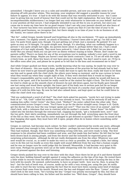astonished. I thought I knew you as a calm and sensible person, and now you suddenly seem to be showing off with peculiar whims. This morning, your employer did suggest a possible reason for your failure to appear, it's true - it had to do with the money that was recently entrusted to you - but I came near to giving him my word of honour that that could not be the right explanation. But now that I see your incomprehensible stubbornness I no longer feel any wish whatsoever to intercede on your behalf. And nor is your position all that secure. I had originally intended to say all this to you in private, but since you cause me to waste my time here for no good reason I don't see why your parents should not also learn of it. Your turnover has been very unsatisfactory of late; I grant you that it's not the time of year to do especially good business, we recognise that; but there simply is no time of year to do no business at all, Mr. Samsa, we cannot allow there to be."

"But Sir", called Gregor, beside himself and forgetting all else in the excitement, "I'll open up immediately, just a moment. I'm slightly unwell, an attack of dizziness, I haven't been able to get up. I'm still in bed now. I'm quite fresh again now, though. I'm just getting out of bed. Just a moment. Be patient! It's not quite as easy as I'd thought. I'm quite alright now, though. It's shocking, what can suddenly happen to a person! I was quite alright last night, my parents know about it, perhaps better than me, I had a small symptom of it last night already. They must have noticed it. I don't know why I didn't let you know at work! But you always think you can get over an illness without staying at home. Please, don't make my parents suffer! There's no basis for any of the accusations you're making; nobody's ever said a word to me about any of these things. Maybe you haven't read the latest contracts I sent in. I'll set off with the eight o'clock train, as well, these few hours of rest have given me strength. You don't need to wait, sir; I'll be in the office soon after you, and please be so good as to tell that to the boss and recommend me to him!"

And while Gregor gushed out these words, hardly knowing what he was saying, he made his way over to the chest of drawers - this was easily done, probably because of the practise he had already had in bed where he now tried to get himself upright. He really did want to open the door, really did want to let them see him and to speak with the chief clerk; the others were being so insistent, and he was curious to learn what they would say when they caught sight of him. If they were shocked then it would no longer be Gregor's responsibility and he could rest. If, however, they took everything calmly he would still have no reason to be upset, and if he hurried he really could be at the station for eight o'clock. The first few times he tried to climb up on the smooth chest of drawers he just slid down again, but he finally gave himself one last swing and stood there upright; the lower part of his body was in serious pain but he no longer gave any attention to it. Now he let himself fall against the back of a nearby chair and held tightly to the edges of it with his little legs. By now he had also calmed down, and kept quiet so that he could listen to what the chief clerk was saying.

"Did you understand a word of all that?" the chief clerk asked his parents, "surely he's not trying to make fools of us". "Oh, God!" called his mother, who was already in tears, "he could be seriously ill and we're making him suffer. Grete! Grete!" she then cried. "Mother?" his sister called from the other side. They communicated across Gregor's room. "You'll have to go for the doctor straight away. Gregor is ill. Quick, get the doctor. Did you hear the way Gregor spoke just now?" "That was the voice of an animal", said the chief clerk, with a calmness that was in contrast with his mother's screams. "Anna! Anna!" his father called into the kitchen through the entrance hall, clapping his hands, "get a locksmith here, now!" And the two girls, their skirts swishing, immediately ran out through the hall, wrenching open the front door of the flat as they went. How had his sister managed to get dressed so quickly? There was no sound of the door banging shut again; they must have left it open; people often do in homes where something awful has happened.

Gregor, in contrast, had become much calmer. So they couldn't understand his words any more, although they seemed clear enough to him, clearer than before - perhaps his ears had become used to the sound. They had realised, though, that there was something wrong with him, and were ready to help. The first response to his situation had been confident and wise, and that made him feel better. He felt that he had been drawn back in among people, and from the doctor and the locksmith he expected great and surprising achievements - although he did not really distinguish one from the other. Whatever was said next would be crucial, so, in order to make his voice as clear as possible, he coughed a little, but taking care to do this not too loudly as even this might well sound different from the way that a human coughs and he was no longer sure he could judge this for himself. Meanwhile, it had become very quiet in the next room. Perhaps his parents were sat at the table whispering with the chief clerk, or perhaps they were all pressed against the door and listening.

Gregor slowly pushed his way over to the door with the chair. Once there he let go of it and threw himself onto the door, holding himself upright against it using the adhesive on the tips of his legs. He rested there a little while to recover from the effort involved and then set himself to the task of turning the key in the lock with his mouth. He seemed, unfortunately, to have no proper teeth - how was he, then, to grasp the key? - but the lack of teeth was, of course, made up for with a very strong jaw; using the jaw, he really was able to start the key turning, ignoring the fact that he must have been causing some kind of damage as a brown fluid came from his mouth, flowed over the key and dripped onto the floor. "Listen", said the chief clerk in the next room, "he's turning the key." Gregor was greatly encouraged by this; but they all should have been calling to him, his father and his mother too: "Well done, Gregor", they should have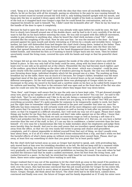cried, "keep at it, keep hold of the lock!" And with the idea that they were all excitedly following his efforts, he bit on the key with all his strength, paying no attention to the pain he was causing himself. As the key turned round he turned around the lock with it, only holding himself upright with his mouth, and hung onto the key or pushed it down again with the whole weight of his body as needed. The clear sound of the lock as it snapped back was Gregor's sign that he could break his concentration, and as he regained his breath he said to himself: "So, I didn't need the locksmith after all". Then he lay his head on the handle of the door to open it completely.

Because he had to open the door in this way, it was already wide open before he could be seen. He had first to slowly turn himself around one of the double doors, and he had to do it very carefully if he did not want to fall flat on his back before entering the room. He was still occupied with this difficult movement, unable to pay attention to anything else, when he heard the chief clerk exclaim a loud "Oh!", which sounded like the soughing of the wind. Now he also saw him - he was the nearest to the door - his hand pressed against his open mouth and slowly retreating as if driven by a steady and invisible force. Gregor's mother, her hair still dishevelled from bed despite the chief clerk's being there, looked at his father. Then she unfolded her arms, took two steps forward towards Gregor and sank down onto the floor into her skirts that spread themselves out around her as her head disappeared down onto her breast. His father looked hostile, and clenched his fists as if wanting to knock Gregor back into his room. Then he looked uncertainly round the living room, covered his eyes with his hands and wept so that his powerful chest shook.

So Gregor did not go into the room, but leant against the inside of the other door which was still held bolted in place. In this way only half of his body could be seen, along with his head above it which he leant over to one side as he peered out at the others. Meanwhile the day had become much lighter; part of the endless, grey-black building on the other side of the street - which was a hospital - could be seen quite clearly with the austere and regular line of windows piercing its façade; the rain was still falling, now throwing down large, individual droplets which hit the ground one at a time. The washing up from breakfast lay on the table; there was so much of it because, for Gregor's father, breakfast was the most important meal of the day and he would stretch it out for several hours as he sat reading a number of different newspapers. On the wall exactly opposite there was photograph of Gregor when he was a lieutenant in the army, his sword in his hand and a carefree smile on his face as he called forth respect for his uniform and bearing. The door to the entrance hall was open and as the front door of the flat was also open he could see onto the landing and the stairs where they began their way down below.

"Now, then", said Gregor, well aware that he was the only one to have kept calm, "I'll get dressed straight away now, pack up my samples and set off. Will you please just let me leave? You can see", he said to the chief clerk, "that I'm not stubborn and I like to do my job; being a commercial traveller is arduous but without travelling I couldn't earn my living. So where are you going, in to the office? Yes? Will you report everything accurately, then? It's quite possible for someone to be temporarily unable to work, but that's just the right time to remember what's been achieved in the past and consider that later on, once the difficulty has been removed, he will certainly work with all the more diligence and concentration. You're well aware that I'm seriously in debt to our employer as well as having to look after my parents and my sister, so that I'm trapped in a difficult situation, but I will work my way out of it again. Please don't make things any harder for me than they are already, and don't take sides against me at the office. I know that nobody likes the travellers. They think we earn an enormous wage as well as having a soft time of it. That's just prejudice but they have no particular reason to think better of it. But you, sir, you have a better overview than the rest of the staff, in fact, if I can say this in confidence, a better overview than the boss himself - it's very easy for a businessman like him to make mistakes about his employees and judge them more harshly than he should. And you're also well aware that we travellers spend almost the whole year away from the office, so that we can very easily fall victim to gossip and chance and groundless complaints, and it's almost impossible to defend yourself from that sort of thing, we don't usually even hear about them, or if at all it's when we arrive back home exhausted from a trip, and that's when we feel the harmful effects of what's been going on without even knowing what caused them. Please, don't go away, at least first say something to show that you grant that I'm at least partly right!"

But the chief clerk had turned away as soon as Gregor had started to speak, and, with protruding lips, only stared back at him over his trembling shoulders as he left. He did not keep still for a moment while Gregor was speaking, but moved steadily towards the door without taking his eyes off him. He moved very gradually, as if there had been some secret prohibition on leaving the room. It was only when he had reached the entrance hall that he made a sudden movement, drew his foot from the living room, and rushed forward in a panic. In the hall, he stretched his right hand far out towards the stairway as if out there, there were some supernatural force waiting to save him.

Gregor realised that it was out of the question to let the chief clerk go away in this mood if his position in the firm was not to be put into extreme danger. That was something his parents did not understand very well; over the years, they had become convinced that this job would provide for Gregor for his entire life, and besides, they had so much to worry about at present that they had lost sight of any thought for the future. Gregor, though, did think about the future. The chief clerk had to be held back, calmed down, convinced and finally won over; the future of Gregor and his family depended on it! If only his sister were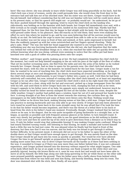here! She was clever; she was already in tears while Gregor was still lying peacefully on his back. And the chief clerk was a lover of women, surely she could persuade him; she would close the front door in the entrance hall and talk him out of his shocked state. But his sister was not there, Gregor would have to do the job himself. And without considering that he still was not familiar with how well he could move about in his present state, or that his speech still might not - or probably would not - be understood, he let go of the door; pushed himself through the opening; tried to reach the chief clerk on the landing who, ridiculously, was holding on to the banister with both hands; but Gregor fell immediately over and, with a little scream as he sought something to hold onto, landed on his numerous little legs. Hardly had that happened than, for the first time that day, he began to feel alright with his body; the little legs had the solid ground under them; to his pleasure, they did exactly as he told them; they were even making the effort to carry him where he wanted to go; and he was soon believing that all his sorrows would soon be finally at an end. He held back the urge to move but swayed from side to side as he crouched there on the floor. His mother was not far away in front of him and seemed, at first, quite engrossed in herself, but then she suddenly jumped up with her arms outstretched and her fingers spread shouting: "Help, for pity's sake, Help!" The way she held her head suggested she wanted to see Gregor better, but the unthinking way she was hurrying backwards showed that she did not; she had forgotten that the table was behind her with all the breakfast things on it; when she reached the table she sat quickly down on it without knowing what she was doing; without even seeming to notice that the coffee pot had been knocked over and a gush of coffee was pouring down onto the carpet.

"Mother, mother", said Gregor gently, looking up at her. He had completely forgotten the chief clerk for the moment, but could not help himself snapping in the air with his jaws at the sight of the flow of coffee. That set his mother screaming anew, she fled from the table and into the arms of his father as he rushed towards her. Gregor, though, had no time to spare for his parents now; the chief clerk had already reached the stairs; with his chin on the banister, he looked back for the last time. Gregor made a run for him; he wanted to be sure of reaching him; the chief clerk must have expected something, as he leapt down several steps at once and disappeared; his shouts resounding all around the staircase. The flight of the chief clerk seemed, unfortunately, to put Gregor's father into a panic as well. Until then he had been relatively self controlled, but now, instead of running after the chief clerk himself, or at least not impeding Gregor as he ran after him, Gregor's father seized the chief clerk's stick in his right hand (the chief clerk had left it behind on a chair, along with his hat and overcoat), picked up a large newspaper from the table with his left, and used them to drive Gregor back into his room, stamping his foot at him as he went. Gregor's appeals to his father were of no help, his appeals were simply not understood, however much he humbly turned his head his father merely stamped his foot all the harder. Across the room, despite the chilly weather, Gregor's mother had pulled open a window, leant far out of it and pressed her hands to her face. A strong draught of air flew in from the street towards the stairway, the curtains flew up, the newspapers on the table fluttered and some of them were blown onto the floor. Nothing would stop Gregor's father as he drove him back, making hissing noises at him like a wild man. Gregor had never had any practice in moving backwards and was only able to go very slowly. If Gregor had only been allowed to turn round he would have been back in his room straight away, but he was afraid that if he took the time to do that his father would become impatient, and there was the threat of a lethal blow to his back or head from the stick in his father's hand any moment. Eventually, though, Gregor realised that he had no choice as he saw, to his disgust, that he was quite incapable of going backwards in a straight line; so he began, as quickly as possible and with frequent anxious glances at his father, to turn himself round. It went very slowly, but perhaps his father was able to see his good intentions as he did nothing to hinder him, in fact now and then he used the tip of his stick to give directions from a distance as to which way to turn. If only his father would stop that unbearable hissing! It was making Gregor quite confused. When he had nearly finished turning round, still listening to that hissing, he made a mistake and turned himself back a little the way he had just come. He was pleased when he finally had his head in front of the doorway, but then saw that it was too narrow, and his body was too broad to get through it without further difficulty. In his present mood, it obviously did not occur to his father to open the other of the double doors so that Gregor would have enough space to get through. He was merely fixed on the idea that Gregor should be got back into his room as quickly as possible. Nor would he ever have allowed Gregor the time to get himself upright as preparation for getting through the doorway. What he did, making more noise than ever, was to drive Gregor forwards all the harder as if there had been nothing in the way; it sounded to Gregor as if there was now more than one father behind him; it was not a pleasant experience, and Gregor pushed himself into the doorway without regard for what might happen. One side of his body lifted itself, he lay at an angle in the doorway, one flank scraped on the white door and was painfully injured, leaving vile brown flecks on it, soon he was stuck fast and would not have been able to move at all by himself, the little legs along one side hung quivering in the air while those on the other side were pressed painfully against the ground. Then his father gave him a hefty shove from behind which released him from where he was held and sent him flying, and heavily bleeding, deep into his room. The door was slammed shut with the stick, then, finally, all was quiet.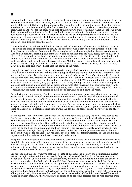#### **II**

It was not until it was getting dark that evening that Gregor awoke from his deep and coma-like sleep. He would have woken soon afterwards anyway even if he hadn't been disturbed, as he had had enough sleep and felt fully rested. But he had the impression that some hurried steps and the sound of the door leading into the front room being carefully shut had woken him. The light from the electric street lamps shone palely here and there onto the ceiling and tops of the furniture, but down below, where Gregor was, it was dark. He pushed himself over to the door, feeling his way clumsily with his antennae - of which he was now beginning to learn the value - in order to see what had been happening there. The whole of his left side seemed like one, painfully stretched scar, and he limped badly on his two rows of legs. One of the legs had been badly injured in the events of that morning - it was nearly a miracle that only one of them had been - and dragged along lifelessly.

It was only when he had reached the door that he realised what it actually was that had drawn him over to it; it was the smell of something to eat. By the door there was a dish filled with sweetened milk with little pieces of white bread floating in it. He was so pleased he almost laughed, as he was even hungrier than he had been that morning, and immediately dipped his head into the milk, nearly covering his eyes with it. But he soon drew his head back again in disappointment; not only did the pain in his tender left side make it difficult to eat the food - he was only able to eat if his whole body worked together as a snuffling whole - but the milk did not taste at all nice. Milk like this was normally his favourite drink, and his sister had certainly left it there for him because of that, but he turned, almost against his own will, away from the dish and crawled back into the centre of the room.

Through the crack in the door, Gregor could see that the gas had been lit in the living room. His father at this time would normally be sat with his evening paper, reading it out in a loud voice to Gregor's mother, and sometimes to his sister, but there was now not a sound to be heard. Gregor's sister would often write and tell him about this reading, but maybe his father had lost the habit in recent times. It was so quiet all around too, even though there must have been somebody in the flat. "What a quiet life it is the family lead", said Gregor to himself, and, gazing into the darkness, felt a great pride that he was able to provide a life like that in such a nice home for his sister and parents. But what now, if all this peace and wealth and comfort should come to a horrible and frightening end? That was something that Gregor did not want to think about too much, so he started to move about, crawling up and down the room.

Once during that long evening, the door on one side of the room was opened very slightly and hurriedly closed again; later on the door on the other side did the same; it seemed that someone needed to enter the room but thought better of it. Gregor went and waited immediately by the door, resolved either to bring the timorous visitor into the room in some way or at least to find out who it was; but the door was opened no more that night and Gregor waited in vain. The previous morning while the doors were locked everyone had wanted to get in there to him, but now, now that he had opened up one of the doors and the other had clearly been unlocked some time during the day, no-one came, and the keys were in the other sides.

It was not until late at night that the gaslight in the living room was put out, and now it was easy to see that his parents and sister had stayed awake all that time, as they all could be distinctly heard as they went away together on tip-toe. It was clear that no-one would come into Gregor's room any more until morning; that gave him plenty of time to think undisturbed about how he would have to re-arrange his life. For some reason, the tall, empty room where he was forced to remain made him feel uneasy as he lay there flat on the floor, even though he had been living in it for five years. Hardly aware of what he was doing other than a slight feeling of shame, he hurried under the couch. It pressed down on his back a little, and he was no longer able to lift his head, but he nonetheless felt immediately at ease and his only regret was that his body was too broad to get it all underneath.

He spent the whole night there. Some of the time he passed in a light sleep, although he frequently woke from it in alarm because of his hunger, and some of the time was spent in worries and vague hopes which, however, always led to the same conclusion: for the time being he must remain calm, he must show patience and the greatest consideration so that his family could bear the unpleasantness that he, in his present condition, was forced to impose on them.

Gregor soon had the opportunity to test the strength of his decisions, as early the next morning, almost before the night had ended, his sister, nearly fully dressed, opened the door from the front room and looked anxiously in. She did not see him straight away, but when she did notice him under the couch - he had to be somewhere, for God's sake, he couldn't have flown away - she was so shocked that she lost control of herself and slammed the door shut again from outside. But she seemed to regret her behaviour, as she opened the door again straight away and came in on tip-toe as if entering the room of someone seriously ill or even of a stranger. Gregor had pushed his head forward, right to the edge of the couch, and watched her. Would she notice that he had left the milk as it was, realise that it was not from any lack of hunger and bring him in some other food that was more suitable? If she didn't do it herself he would rather go hungry than draw her attention to it, although he did feel a terrible urge to rush forward from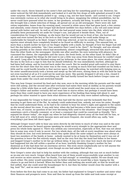under the couch, throw himself at his sister's feet and beg her for something good to eat. However, his sister noticed the full dish immediately and looked at it and the few drops of milk splashed around it with some surprise. She immediately picked it up - using a rag, not her bare hands - and carried it out. Gregor was extremely curious as to what she would bring in its place, imagining the wildest possibilities, but he never could have guessed what his sister, in her goodness, actually did bring. In order to test his taste, she brought him a whole selection of things, all spread out on an old newspaper. There were old, halfrotten vegetables; bones from the evening meal, covered in white sauce that had gone hard; a few raisins and almonds; some cheese that Gregor had declared inedible two days before; a dry roll and some bread spread with butter and salt. As well as all that she had poured some water into the dish, which had probably been permanently set aside for Gregor's use, and placed it beside them. Then, out of consideration for Gregor's feelings, as she knew that he would not eat in front of her, she hurried out again and even turned the key in the lock so that Gregor would know he could make things as comfortable for himself as he liked. Gregor's little legs whirred, at last he could eat. What's more, his injuries must already have completely healed as he found no difficulty in moving. This amazed him, as more than a month earlier he had cut his finger slightly with a knife, he thought of how his finger had still hurt the day before yesterday. "Am I less sensitive than I used to be, then?", he thought, and was already sucking greedily at the cheese which had immediately, almost compellingly, attracted him much more than the other foods on the newspaper. Quickly one after another, his eyes watering with pleasure, he consumed the cheese, the vegetables and the sauce; the fresh foods, on the other hand, he didn't like at all, and even dragged the things he did want to eat a little way away from them because he couldn't stand the smell. Long after he had finished eating and lay lethargic in the same place, his sister slowly turned the key in the lock as a sign to him that he should withdraw. He was immediately startled, although he had been half asleep, and he hurried back under the couch. But he needed great self-control to stay there even for the short time that his sister was in the room, as eating so much food had rounded out his body a little and he could hardly breathe in that narrow space. Half suffocating, he watched with bulging eyes as his sister unselfconsciously took a broom and swept up the left-overs, mixing them in with the food he had not even touched at all as if it could not be used any more. She quickly dropped it all into a bin, closed it with its wooden lid, and carried everything out. She had hardly turned her back before Gregor came out again from under the couch and stretched himself.

This was how Gregor received his food each day now, once in the morning while his parents and the maid were still asleep, and the second time after everyone had eaten their meal at midday as his parents would sleep for a little while then as well, and Gregor's sister would send the maid away on some errand. Gregor's father and mother certainly did not want him to starve either, but perhaps it would have been more than they could stand to have any more experience of his feeding than being told about it, and perhaps his sister wanted to spare them what distress she could as they were indeed suffering enough.

It was impossible for Gregor to find out what they had told the doctor and the locksmith that first morning to get them out of the flat. As nobody could understand him, nobody, not even his sister, thought that he could understand them, so he had to be content to hear his sister's sighs and appeals to the saints as she moved about his room. It was only later, when she had become a little more used to everything there was, of course, no question of her ever becoming fully used to the situation - that Gregor would sometimes catch a friendly comment, or at least a comment that could be construed as friendly. "He's enjoyed his dinner today", she might say when he had diligently cleared away all the food left for him, or if he left most of it, which slowly became more and more frequent, she would often say, sadly, "now everything's just been left there again".

Although Gregor wasn't able to hear any news directly he did listen to much of what was said in the next rooms, and whenever he heard anyone speaking he would scurry straight to the appropriate door and press his whole body against it. There was seldom any conversation, especially at first, that was not about him in some way, even if only in secret. For two whole days, all the talk at every mealtime was about what they should do now; but even between meals they spoke about the same subject as there were always at least two members of the family at home - nobody wanted to be at home by themselves and it was out of the question to leave the flat entirely empty. And on the very first day the maid had fallen to her knees and begged Gregor's mother to let her go without delay. It was not very clear how much she knew of what had happened but she left within a quarter of an hour, tearfully thanking Gregor's mother for her dismissal as if she had done her an enormous service. She even swore emphatically not to tell anyone the slightest about what had happened, even though no-one had asked that of her.

Now Gregor's sister also had to help his mother with the cooking; although that was not so much bother as no-one ate very much. Gregor often heard how one of them would unsuccessfully urge another to eat, and receive no more answer than "no thanks, I've had enough" or something similar. No-one drank very much either. His sister would sometimes ask his father whether he would like a beer, hoping for the chance to go and fetch it herself. When his father then said nothing she would add, so that he would not feel selfish, that she could send the housekeeper for it, but then his father would close the matter with a big, loud "No", and no more would be said.

Even before the first day had come to an end, his father had explained to Gregor's mother and sister what their finances and prospects were. Now and then he stood up from the table and took some receipt or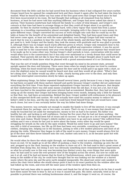document from the little cash box he had saved from his business when it had collapsed five years earlier. Gregor heard how he opened the complicated lock and then closed it again after he had taken the item he wanted. What he heard his father say was some of the first good news that Gregor heard since he had first been incarcerated in his room. He had thought that nothing at all remained from his father's business, at least he had never told him anything different, and Gregor had never asked him about it anyway. Their business misfortune had reduced the family to a state of total despair, and Gregor's only concern at that time had been to arrange things so that they could all forget about it as quickly as possible. So then he started working especially hard, with a fiery vigour that raised him from a junior salesman to a travelling representative almost overnight, bringing with it the chance to earn money in quite different ways. Gregor converted his success at work straight into cash that he could lay on the table at home for the benefit of his astonished and delighted family. They had been good times and they had never come again, at least not with the same splendour, even though Gregor had later earned so much that he was in a position to bear the costs of the whole family, and did bear them. They had even got used to it, both Gregor and the family, they took the money with gratitude and he was glad to provide it, although there was no longer much warm affection given in return. Gregor only remained close to his sister now. Unlike him, she was very fond of music and a gifted and expressive violinist, it was his secret plan to send her to the conservatory next year even though it would cause great expense that would have to be made up for in some other way. During Gregor's short periods in town, conversation with his sister would often turn to the conservatory but it was only ever mentioned as a lovely dream that could never be realised. Their parents did not like to hear this innocent talk, but Gregor thought about it quite hard and decided he would let them know what he planned with a grand announcement of it on Christmas day.

That was the sort of totally pointless thing that went through his mind in his present state, pressed upright against the door and listening. There were times when he simply became too tired to continue listening, when his head would fall wearily against the door and he would pull it up again with a start, as even the slightest noise he caused would be heard next door and they would all go silent. "What's that he's doing now", his father would say after a while, clearly having gone over to the door, and only then would the interrupted conversation slowly be taken up again.

When explaining things, his father repeated himself several times, partly because it was a long time since he had been occupied with these matters himself and partly because Gregor's mother did not understand everything the first time. From these repeated explanations Gregor learned, to his pleasure, that despite all their misfortunes there was still some money available from the old days. It was not a lot, but it had not been touched in the meantime and some interest had accumulated. Besides that, they had not been using up all the money that Gregor had been bringing home every month, keeping only a little for himself, so that that, too, had been accumulating. Behind the door, Gregor nodded with enthusiasm in his pleasure at this unexpected thrift and caution. He could actually have used this surplus money to reduce his father's debt to his boss, and the day when he could have freed himself from that job would have come much closer, but now it was certainly better the way his father had done things.

This money, however, was certainly not enough to enable the family to live off the interest; it was enough to maintain them for, perhaps, one or two years, no more. That's to say, it was money that should not really be touched but set aside for emergencies; money to live on had to be earned. His father was healthy but old, and lacking in self confidence. During the five years that he had not been working - the first holiday in a life that had been full of strain and no success - he had put on a lot of weight and become very slow and clumsy. Would Gregor's elderly mother now have to go and earn money? She suffered from asthma and it was a strain for her just to move about the home, every other day would be spent struggling for breath on the sofa by the open window. Would his sister have to go and earn money? She was still a child of seventeen, her life up till then had been very enviable, consisting of wearing nice clothes, sleeping late, helping out in the business, joining in with a few modest pleasures and most of all playing the violin. Whenever they began to talk of the need to earn money, Gregor would always first let go of the door and then throw himself onto the cool, leather sofa next to it, as he became quite hot with shame and regret.

He would often lie there the whole night through, not sleeping a wink but scratching at the leather for hours on end. Or he might go to all the effort of pushing a chair to the window, climbing up onto the sill and, propped up in the chair, leaning on the window to stare out of it. He had used to feel a great sense of freedom from doing this, but doing it now was obviously something more remembered than experienced, as what he actually saw in this way was becoming less distinct every day, even things that were quite near; he had used to curse the ever-present view of the hospital across the street, but now he could not see it at all, and if he had not known that he lived in Charlottenstrasse, which was a quiet street despite being in the middle of the city, he could have thought that he was looking out the window at a barren waste where the grey sky and the grey earth mingled inseparably. His observant sister only needed to notice the chair twice before she would always push it back to its exact position by the window after she had tidied up the room, and even left the inner pane of the window open from then on.

If Gregor had only been able to speak to his sister and thank her for all that she had to do for him it would have been easier for him to bear it; but as it was it caused him pain. His sister, naturally, tried as far as possible to pretend there was nothing burdensome about it, and the longer it went on, of course, the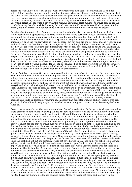better she was able to do so, but as time went by Gregor was also able to see through it all so much better. It had even become very unpleasant for him, now, whenever she entered the room. No sooner had she come in than she would quickly close the door as a precaution so that no-one would have to suffer the view into Gregor's room, then she would go straight to the window and pull it hurriedly open almost as if she were suffocating. Even if it was cold, she would stay at the window breathing deeply for a little while. She would alarm Gregor twice a day with this running about and noise making; he would stay under the couch shivering the whole while, knowing full well that she would certainly have liked to spare him this ordeal, but it was impossible for her to be in the same room with him with the windows closed.

One day, about a month after Gregor's transformation when his sister no longer had any particular reason to be shocked at his appearance, she came into the room a little earlier than usual and found him still staring out the window, motionless, and just where he would be most horrible. In itself, his sister's not coming into the room would have been no surprise for Gregor as it would have been difficult for her to immediately open the window while he was still there, but not only did she not come in, she went straight back and closed the door behind her, a stranger would have thought he had threatened her and tried to bite her. Gregor went straight to hide himself under the couch, of course, but he had to wait until midday before his sister came back and she seemed much more uneasy than usual. It made him realise that she still found his appearance unbearable and would continue to do so, she probably even had to overcome the urge to flee when she saw the little bit of him that protruded from under the couch. One day, in order to spare her even this sight, he spent four hours carrying the bedsheet over to the couch on his back and arranged it so that he was completely covered and his sister would not be able to see him even if she bent down. If she did not think this sheet was necessary then all she had to do was take it off again, as it was clear enough that it was no pleasure for Gregor to cut himself off so completely. She left the sheet where it was. Gregor even thought he glimpsed a look of gratitude one time when he carefully looked out from under the sheet to see how his sister liked the new arrangement.

For the first fourteen days, Gregor's parents could not bring themselves to come into the room to see him. He would often hear them say how they appreciated all the new work his sister was doing even though, before, they had seen her as a girl who was somewhat useless and frequently been annoyed with her. But now the two of them, father and mother, would often both wait outside the door of Gregor's room while his sister tidied up in there, and as soon as she went out again she would have to tell them exactly how everything looked, what Gregor had eaten, how he had behaved this time and whether, perhaps, any slight improvement could be seen. His mother also wanted to go in and visit Gregor relatively soon but his father and sister at first persuaded her against it. Gregor listened very closely to all this, and approved fully. Later, though, she had to be held back by force, which made her call out: "Let me go and see Gregor, he is my unfortunate son! Can't you understand I have to see him?", and Gregor would think to himself that maybe it would be better if his mother came in, not every day of course, but one day a week, perhaps; she could understand everything much better than his sister who, for all her courage, was still just a child after all, and really might not have had an adult's appreciation of the burdensome job she had taken on.

Gregor's wish to see his mother was soon realised. Out of consideration for his parents, Gregor wanted to avoid being seen at the window during the day, the few square meters of the floor did not give him much room to crawl about, it was hard to just lie quietly through the night, his food soon stopped giving him any pleasure at all, and so, to entertain himself, he got into the habit of crawling up and down the walls and ceiling. He was especially fond of hanging from the ceiling; it was quite different from lying on the floor; he could breathe more freely; his body had a light swing to it; and up there, relaxed and almost happy, it might happen that he would surprise even himself by letting go of the ceiling and landing on the floor with a crash. But now, of course, he had far better control of his body than before and, even with a fall as great as that, caused himself no damage. Very soon his sister noticed Gregor's new way of entertaining himself - he had, after all, left traces of the adhesive from his feet as he crawled about - and got it into her head to make it as easy as possible for him by removing the furniture that got in his way, especially the chest of drawers and the desk. Now, this was not something that she would be able to do by herself; she did not dare to ask for help from her father; the sixteen year old maid had carried on bravely since the cook had left but she certainly would not have helped in this, she had even asked to be allowed to keep the kitchen locked at all times and never to have to open the door unless it was especially important; so his sister had no choice but to choose some time when Gregor's father was not there and fetch his mother to help her. As she approached the room, Gregor could hear his mother express her joy, but once at the door she went silent. First, of course, his sister came in and looked round to see that everything in the room was alright; and only then did she let her mother enter. Gregor had hurriedly pulled the sheet down lower over the couch and put more folds into it so that everything really looked as if it had just been thrown down by chance. Gregor also refrained, this time, from spying out from under the sheet; he gave up the chance to see his mother until later and was simply glad that she had come. "You can come in, he can't be seen", said his sister, obviously leading her in by the hand. The old chest of drawers was too heavy for a pair of feeble women to be heaving about, but Gregor listened as they pushed it from its place, his sister always taking on the heaviest part of the work for herself and ignoring her mother's warnings that she would strain herself. This lasted a very long time. After labouring at it for fifteen minutes or more his mother said it would be better to leave the chest where it was, for one thing it was too heavy for them to get the job finished before Gregor's father got home and leaving it in the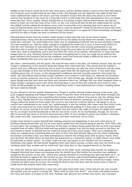middle of the room it would be in his way even more, and for another thing it wasn't even sure that taking the furniture away would really be any help to him. She thought just the opposite; the sight of the bare walls saddened her right to her heart; and why wouldn't Gregor feel the same way about it, he'd been used to this furniture in his room for a long time and it would make him feel abandoned to be in an empty room like that. Then, quietly, almost whispering as if wanting Gregor (whose whereabouts she did not know) to hear not even the tone of her voice, as she was convinced that he did not understand her words, she added "and by taking the furniture away, won't it seem like we're showing that we've given up all hope of improvement and we're abandoning him to cope for himself? I think it'd be best to leave the room exactly the way it was before so that when Gregor comes back to us again he'll find everything unchanged and he'll be able to forget the time in between all the easier".

Hearing these words from his mother made Gregor realise that the lack of any direct human communication, along with the monotonous life led by the family during these two months, must have made him confused - he could think of no other way of explaining to himself why he had seriously wanted his room emptied out. Had he really wanted to transform his room into a cave, a warm room fitted out with the nice furniture he had inherited? That would have let him crawl around unimpeded in any direction, but it would also have let him quickly forget his past when he had still been human. He had come very close to forgetting, and it had only been the voice of his mother, unheard for so long, that had shaken him out of it. Nothing should be removed; everything had to stay; he could not do without the good influence the furniture had on his condition; and if the furniture made it difficult for him to crawl about mindlessly that was not a loss but a great advantage.

His sister, unfortunately, did not agree; she had become used to the idea, not without reason, that she was Gregor's spokesman to his parents about the things that concerned him. This meant that his mother's advice now was sufficient reason for her to insist on removing not only the chest of drawers and the desk, as she had thought at first, but all the furniture apart from the all-important couch. It was more than childish perversity, of course, or the unexpected confidence she had recently acquired, that made her insist; she had indeed noticed that Gregor needed a lot of room to crawl about in, whereas the furniture, as far as anyone could see, was of no use to him at all. Girls of that age, though, do become enthusiastic about things and feel they must get their way whenever they can. Perhaps this was what tempted Grete to make Gregor's situation seem even more shocking than it was so that she could do even more for him. Grete would probably be the only one who would dare enter a room dominated by Gregor crawling about the bare walls by himself.

So she refused to let her mother dissuade her. Gregor's mother already looked uneasy in his room, she soon stopped speaking and helped Gregor's sister to get the chest of drawers out with what strength she had. The chest of drawers was something that Gregor could do without if he had to, but the writing desk had to stay. Hardly had the two women pushed the chest of drawers, groaning, out of the room than Gregor poked his head out from under the couch to see what he could do about it. He meant to be as careful and considerate as he could, but, unfortunately, it was his mother who came back first while Grete in the next room had her arms round the chest, pushing and pulling at it from side to side by herself without, of course, moving it an inch. His mother was not used to the sight of Gregor, he might have made her ill, so Gregor hurried backwards to the far end of the couch. In his startlement, though, he was not able to prevent the sheet at its front from moving a little. It was enough to attract his mother's attention. She stood very still, remained there a moment, and then went back out to Grete.

Gregor kept trying to assure himself that nothing unusual was happening, it was just a few pieces of furniture being moved after all, but he soon had to admit that the women going to and fro, their little calls to each other, the scraping of the furniture on the floor, all these things made him feel as if he were being assailed from all sides. With his head and legs pulled in against him and his body pressed to the floor, he was forced to admit to himself that he could not stand all of this much longer. They were emptying his room out; taking away everything that was dear to him; they had already taken out the chest containing his fretsaw and other tools; now they threatened to remove the writing desk with its place clearly worn into the floor, the desk where he had done his homework as a business trainee, at high school, even while he had been at infant school - he really could not wait any longer to see whether the two women's intentions were good. He had nearly forgotten they were there anyway, as they were now too tired to say anything while they worked and he could only hear their feet as they stepped heavily on the floor.

So, while the women were leant against the desk in the other room catching their breath, he sallied out, changed direction four times not knowing what he should save first before his attention was suddenly caught by the picture on the wall - which was already denuded of everything else that had been on it - of the lady dressed in copious fur. He hurried up onto the picture and pressed himself against its glass, it held him firmly and felt good on his hot belly. This picture at least, now totally covered by Gregor, would certainly be taken away by no-one. He turned his head to face the door into the living room so that he could watch the women when they came back.

They had not allowed themselves a long rest and came back quite soon; Grete had put her arm around her mother and was nearly carrying her. "What shall we take now, then?", said Grete and looked around. Her eyes met those of Gregor on the wall. Perhaps only because her mother was there, she remained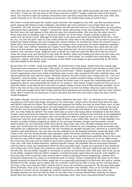calm, bent her face to her so that she would not look round and said, albeit hurriedly and with a tremor in her voice: "Come on, let's go back in the living room for a while?" Gregor could see what Grete had in mind, she wanted to take her mother somewhere safe and then chase him down from the wall. Well, she could certainly try it! He sat unyielding on his picture. He would rather jump at Grete's face.

But Grete's words had made her mother quite worried, she stepped to one side, saw the enormous brown patch against the flowers of the wallpaper, and before she even realised it was Gregor that she saw screamed: "Oh God, oh God!" Arms outstretched, she fell onto the couch as if she had given up everything and stayed there immobile. "Gregor!" shouted his sister, glowering at him and shaking her fist. That was the first word she had spoken to him directly since his transformation. She ran into the other room to fetch some kind of smelling salts to bring her mother out of her faint; Gregor wanted to help too - he could save his picture later, although he stuck fast to the glass and had to pull himself off by force; then he, too, ran into the next room as if he could advise his sister like in the old days; but he had to just stand behind her doing nothing; she was looking into various bottles, he startled her when she turned round; a bottle fell to the ground and broke; a splinter cut Gregor's face, some kind of caustic medicine splashed all over him; now, without delaying any longer, Grete took hold of all the bottles she could and ran with them in to her mother; she slammed the door shut with her foot. So now Gregor was shut out from his mother, who, because of him, might be near to death; he could not open the door if he did not want to chase his sister away, and she had to stay with his mother; there was nothing for him to do but wait; and, oppressed with anxiety and self-reproach, he began to crawl about, he crawled over everything, walls, furniture, ceiling, and finally in his confusion as the whole room began to spin around him he fell down into the middle of the dinner table.

He lay there for a while, numb and immobile, all around him it was quiet, maybe that was a good sign. Then there was someone at the door. The maid, of course, had locked herself in her kitchen so that Grete would have to go and answer it. His father had arrived home. "What's happened?" were his first words; Grete's appearance must have made everything clear to him. She answered him with subdued voice, and openly pressed her face into his chest: "Mother's fainted, but she's better now. Gregor got out." "Just as I expected", said his father, "just as I always said, but you women wouldn't listen, would you." It was clear to Gregor that Grete had not said enough and that his father took it to mean that something bad had happened, that he was responsible for some act of violence. That meant Gregor would now have to try to calm his father, as he did not have the time to explain things to him even if that had been possible. So he fled to the door of his room and pressed himself against it so that his father, when he came in from the hall, could see straight away that Gregor had the best intentions and would go back into his room without delay, that it would not be necessary to drive him back but that they had only to open the door and he would disappear.

His father, though, was not in the mood to notice subtleties like that; "Ah!", he shouted as he came in, sounding as if he were both angry and glad at the same time. Gregor drew his head back from the door and lifted it towards his father. He really had not imagined his father the way he stood there now; of late, with his new habit of crawling about, he had neglected to pay attention to what was going on the rest of the flat the way he had done before. He really ought to have expected things to have changed, but still, still, was that really his father? The same tired man as used to be laying there entombed in his bed when Gregor came back from his business trips, who would receive him sitting in the armchair in his nightgown when he came back in the evenings; who was hardly even able to stand up but, as a sign of his pleasure, would just raise his arms and who, on the couple of times a year when they went for a walk together on a Sunday or public holiday wrapped up tightly in his overcoat between Gregor and his mother, would always labour his way forward a little more slowly than them, who were already walking slowly for his sake; who would place his stick down carefully and, if he wanted to say something would invariably stop and gather his companions around him. He was standing up straight enough now; dressed in a smart blue uniform with gold buttons, the sort worn by the employees at the banking institute; above the high, stiff collar of the coat his strong double-chin emerged; under the bushy eyebrows, his piercing, dark eyes looked out fresh and alert; his normally unkempt white hair was combed down painfully close to his scalp. He took his cap, with its gold monogram from, probably, some bank, and threw it in an arc right across the room onto the sofa, put his hands in his trouser pockets, pushing back the bottom of his long uniform coat, and, with look of determination, walked towards Gregor. He probably did not even know himself what he had in mind, but nonetheless lifted his feet unusually high. Gregor was amazed at the enormous size of the soles of his boots, but wasted no time with that - he knew full well, right from the first day of his new life, that his father thought it necessary to always be extremely strict with him. And so he ran up to his father, stopped when his father stopped, scurried forwards again when he moved, even slightly. In this way they went round the room several times without anything decisive happening, without even giving the impression of a chase as everything went so slowly. Gregor remained all this time on the floor, largely because he feared his father might see it as especially provoking if he fled onto the wall or ceiling. Whatever he did, Gregor had to admit that he certainly would not be able to keep up this running about for long, as for each step his father took he had to carry out countless movements. He became noticeably short of breath, even in his earlier life his lungs had not been very reliable. Now, as he lurched about in his efforts to muster all the strength he could for running he could hardly keep his eyes open; his thoughts became too slow for him to think of any other way of saving himself than running; he almost forgot that the walls were there for him to use although, here, they were concealed behind carefully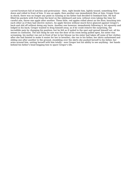carved furniture full of notches and protrusions - then, right beside him, lightly tossed, something flew down and rolled in front of him. It was an apple; then another one immediately flew at him; Gregor froze in shock; there was no longer any point in running as his father had decided to bombard him. He had filled his pockets with fruit from the bowl on the sideboard and now, without even taking the time for careful aim, threw one apple after another. These little, red apples rolled about on the floor, knocking into each other as if they had electric motors. An apple thrown without much force glanced against Gregor's back and slid off without doing any harm. Another one however, immediately following it, hit squarely and lodged in his back; Gregor wanted to drag himself away, as if he could remove the surprising, the incredible pain by changing his position; but he felt as if nailed to the spot and spread himself out, all his senses in confusion. The last thing he saw was the door of his room being pulled open, his sister was screaming, his mother ran out in front of her in her blouse (as his sister had taken off some of her clothes after she had fainted to make it easier for her to breathe), she ran to his father, her skirts unfastened and sliding one after another to the ground, stumbling over the skirts she pushed herself to his father, her arms around him, uniting herself with him totally - now Gregor lost his ability to see anything - her hands behind his father's head begging him to spare Gregor's life.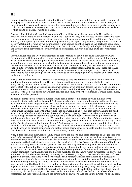#### **III**

No-one dared to remove the apple lodged in Gregor's flesh, so it remained there as a visible reminder of his injury. He had suffered it there for more than a month, and his condition seemed serious enough to remind even his father that Gregor, despite his current sad and revolting form, was a family member who could not be treated as an enemy. On the contrary, as a family there was a duty to swallow any revulsion for him and to be patient, just to be patient.

Because of his injuries, Gregor had lost much of his mobility - probably permanently. He had been reduced to the condition of an ancient invalid and it took him long, long minutes to crawl across his room - crawling over the ceiling was out of the question - but this deterioration in his condition was fully (in his opinion) made up for by the door to the living room being left open every evening. He got into the habit of closely watching it for one or two hours before it was opened and then, lying in the darkness of his room where he could not be seen from the living room, he could watch the family in the light of the dinner table and listen to their conversation - with everyone's permission, in a way, and thus quite differently from before.

They no longer held the lively conversations of earlier times, of course, the ones that Gregor always thought about with longing when he was tired and getting into the damp bed in some small hotel room. All of them were usually very quiet nowadays. Soon after dinner, his father would go to sleep in his chair; his mother and sister would urge each other to be quiet; his mother, bent deeply under the lamp, would sew fancy underwear for a fashion shop; his sister, who had taken a sales job, learned shorthand and French in the evenings so that she might be able to get a better position later on. Sometimes his father would wake up and say to Gregor's mother "you're doing so much sewing again today!", as if he did not know that he had been dozing - and then he would go back to sleep again while mother and sister would exchange a tired grin.

With a kind of stubbornness, Gregor's father refused to take his uniform off even at home; while his nightgown hung unused on its peg Gregor's father would slumber where he was, fully dressed, as if always ready to serve and expecting to hear the voice of his superior even here. The uniform had not been new to start with, but as a result of this it slowly became even shabbier despite the efforts of Gregor's mother and sister to look after it. Gregor would often spend the whole evening looking at all the stains on this coat, with its gold buttons always kept polished and shiny, while the old man in it would sleep, highly uncomfortable but peaceful.

As soon as it struck ten, Gregor's mother would speak gently to his father to wake him and try to persuade him to go to bed, as he couldn't sleep properly where he was and he really had to get his sleep if he was to be up at six to get to work. But since he had been in work he had become more obstinate and would always insist on staying longer at the table, even though he regularly fell asleep and it was then harder than ever to persuade him to exchange the chair for his bed. Then, however much mother and sister would importune him with little reproaches and warnings he would keep slowly shaking his head for a quarter of an hour with his eyes closed and refusing to get up. Gregor's mother would tug at his sleeve, whisper endearments into his ear, Gregor's sister would leave her work to help her mother, but nothing would have any effect on him. He would just sink deeper into his chair. Only when the two women took him under the arms he would abruptly open his eyes, look at them one after the other and say: "What a life! This is what peace I get in my old age!" And supported by the two women he would lift himself up carefully as if he were carrying the greatest load himself, let the women take him to the door, send them off and carry on by himself while Gregor's mother would throw down her needle and his sister her pen so that they could run after his father and continue being of help to him.

Who, in this tired and overworked family, would have had time to give more attention to Gregor than was absolutely necessary? The household budget became even smaller; so now the maid was dismissed; an enormous, thick-boned charwoman with white hair that flapped around her head came every morning and evening to do the heaviest work; everything else was looked after by Gregor's mother on top of the large amount of sewing work she did. Gregor even learned, listening to the evening conversation about what price they had hoped for, that several items of jewellery belonging to the family had been sold, even though both mother and sister had been very fond of wearing them at functions and celebrations. But the loudest complaint was that although the flat was much too big for their present circumstances, they could not move out of it, there was no imaginable way of transferring Gregor to the new address. He could see quite well, though, that there were more reasons than consideration for him that made it difficult for them to move, it would have been quite easy to transport him in any suitable crate with a few air holes in it; the main thing holding the family back from their decision to move was much more to do with their total despair, and the thought that they had been struck with a misfortune unlike anything experienced by anyone else they knew or were related to. They carried out absolutely everything that the world expects from poor people, Gregor's father brought bank employees their breakfast, his mother sacrificed herself by washing clothes for strangers, his sister ran back and forth behind her desk at the behest of the customers, but they just did not have the strength to do any more. And the injury in Gregor's back began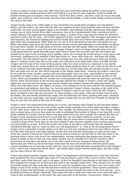to hurt as much as when it was new. After they had come back from taking his father to bed Gregor's mother and sister would now leave their work where it was and sit close together, cheek to cheek; his mother would point to Gregor's room and say "Close that door, Grete", and then, when he was in the dark again, they would sit in the next room and their tears would mingle, or they would simply sit there staring dry-eyed at the table.

Gregor hardly slept at all, either night or day. Sometimes he would think of taking over the family's affairs, just like before, the next time the door was opened; he had long forgotten about his boss and the chief clerk, but they would appear again in his thoughts, the salesmen and the apprentices, that stupid teaboy, two or three friends from other businesses, one of the chambermaids from a provincial hotel, a tender memory that appeared and disappeared again, a cashier from a hat shop for whom his attention had been serious but too slow, - all of them appeared to him, mixed together with strangers and others he had forgotten, but instead of helping him and his family they were all of them inaccessible, and he was glad when they disappeared. Other times he was not at all in the mood to look after his family, he was filled with simple rage about the lack of attention he was shown, and although he could think of nothing he would have wanted, he made plans of how he could get into the pantry where he could take all the things he was entitled to, even if he was not hungry. Gregor's sister no longer thought about how she could please him but would hurriedly push some food or other into his room with her foot before she rushed out to work in the morning and at midday, and in the evening she would sweep it away again with the broom, indifferent as to whether it had been eaten or - more often than not - had been left totally untouched. She still cleared up the room in the evening, but now she could not have been any quicker about it. Smears of dirt were left on the walls, here and there were little balls of dust and filth. At first, Gregor went into one of the worst of these places when his sister arrived as a reproach to her, but he could have stayed there for weeks without his sister doing anything about it; she could see the dirt as well as he could but she had simply decided to leave him to it. At the same time she became touchy in a way that was quite new for her and which everyone in the family understood - cleaning up Gregor's room was for her and her alone. Gregor's mother did once thoroughly clean his room, and needed to use several bucketfuls of water to do it - although that much dampness also made Gregor ill and he lay flat on the couch, bitter and immobile. But his mother was to be punished still more for what she had done, as hardly had his sister arrived home in the evening than she noticed the change in Gregor's room and, highly aggrieved, ran back into the living room where, despite her mothers raised and imploring hands, she broke into convulsive tears. Her father, of course, was startled out of his chair and the two parents looked on astonished and helpless; then they, too, became agitated; Gregor's father, standing to the right of his mother, accused her of not leaving the cleaning of Gregor's room to his sister; from her left, Gregor's sister screamed at her that she was never to clean Gregor's room again; while his mother tried to draw his father, who was beside himself with anger, into the bedroom; his sister, quaking with tears, thumped on the table with her small fists; and Gregor hissed in anger that no-one had even thought of closing the door to save him the sight of this and all its noise.

Gregor's sister was exhausted from going out to work, and looking after Gregor as she had done before was even more work for her, but even so his mother ought certainly not to have taken her place. Gregor, on the other hand, ought not to be neglected. Now, though, the charwoman was here. This elderly widow, with a robust bone structure that made her able to withstand the hardest of things in her long life, wasn't really repelled by Gregor. Just by chance one day, rather than any real curiosity, she opened the door to Gregor's room and found herself face to face with him. He was taken totally by surprise, no-one was chasing him but he began to rush to and fro while she just stood there in amazement with her hands crossed in front of her. From then on she never failed to open the door slightly every evening and morning and look briefly in on him. At first she would call to him as she did so with words that she probably considered friendly, such as "come on then, you old dung-beetle!", or "look at the old dung-beetle there!" Gregor never responded to being spoken to in that way, but just remained where he was without moving as if the door had never even been opened. If only they had told this charwoman to clean up his room every day instead of letting her disturb him for no reason whenever she felt like it! One day, early in the morning while a heavy rain struck the windowpanes, perhaps indicating that spring was coming, she began to speak to him in that way once again. Gregor was so resentful of it that he started to move toward her, he was slow and infirm, but it was like a kind of attack. Instead of being afraid, the charwoman just lifted up one of the chairs from near the door and stood there with her mouth open, clearly intending not to close her mouth until the chair in her hand had been slammed down into Gregor's back. "Aren't you coming any closer, then?", she asked when Gregor turned round again, and she calmly put the chair back in the corner.

Gregor had almost entirely stopped eating. Only if he happened to find himself next to the food that had been prepared for him he might take some of it into his mouth to play with it, leave it there a few hours and then, more often than not, spit it out again. At first he thought it was distress at the state of his room that stopped him eating, but he had soon got used to the changes made there. They had got into the habit of putting things into this room that they had no room for anywhere else, and there were now many such things as one of the rooms in the flat had been rented out to three gentlemen. These earnest gentlemen all three of them had full beards, as Gregor learned peering through the crack in the door one day - were painfully insistent on things' being tidy. This meant not only in their own room but, since they had taken a room in this establishment, in the entire flat and especially in the kitchen. Unnecessary clutter was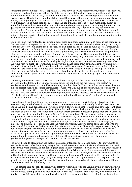something they could not tolerate, especially if it was dirty. They had moreover brought most of their own furnishings and equipment with them. For this reason, many things had become superfluous which, although they could not be sold, the family did not wish to discard. All these things found their way into Gregor's room. The dustbins from the kitchen found their way in there too. The charwoman was always in a hurry, and anything she couldn't use for the time being she would just chuck in there. He, fortunately, would usually see no more than the object and the hand that held it. The woman most likely meant to fetch the things back out again when she had time and the opportunity, or to throw everything out in one go, but what actually happened was that they were left where they landed when they had first been thrown unless Gregor made his way through the junk and moved it somewhere else. At first he moved it because, with no other room free where he could crawl about, he was forced to, but later on he came to enjoy it although moving about in that way left him sad and tired to death, and he would remain immobile for hours afterwards.

The gentlemen who rented the room would sometimes take their evening meal at home in the living room that was used by everyone, and so the door to this room was often kept closed in the evening. But Gregor found it easy to give up having the door open, he had, after all, often failed to make use of it when it was open and, without the family having noticed it, lain in his room in its darkest corner. One time, though, the charwoman left the door to the living room slightly open, and it remained open when the gentlemen who rented the room came in in the evening and the light was put on. They sat up at the table where, formerly, Gregor had taken his meals with his father and mother, they unfolded the serviettes and picked up their knives and forks. Gregor's mother immediately appeared in the doorway with a dish of meat and soon behind her came his sister with a dish piled high with potatoes. The food was steaming, and filled the room with its smell. The gentlemen bent over the dishes set in front of them as if they wanted to test the food before eating it, and the gentleman in the middle, who seemed to count as an authority for the other two, did indeed cut off a piece of meat while it was still in its dish, clearly wishing to establish whether it was sufficiently cooked or whether it should be sent back to the kitchen. It was to his satisfaction, and Gregor's mother and sister, who had been looking on anxiously, began to breathe again and smiled.

The family themselves ate in the kitchen. Nonetheless, Gregor's father came into the living room before he went into the kitchen, bowed once with his cap in his hand and did his round of the table. The gentlemen stood as one, and mumbled something into their beards. Then, once they were alone, they ate in near perfect silence. It seemed remarkable to Gregor that above all the various noises of eating their chewing teeth could still be heard, as if they had wanted to show Gregor that you need teeth in order to eat and it was not possible to perform anything with jaws that are toothless however nice they might be. "I'd like to eat something", said Gregor anxiously, "but not anything like they're eating. They do feed themselves. And here I am, dying!"

Throughout all this time, Gregor could not remember having heard the violin being played, but this evening it began to be heard from the kitchen. The three gentlemen had already finished their meal, the one in the middle had produced a newspaper, given a page to each of the others, and now they leant back in their chairs reading them and smoking. When the violin began playing they became attentive, stood up and went on tip-toe over to the door of the hallway where they stood pressed against each other. Someone must have heard them in the kitchen, as Gregor's father called out: "Is the playing perhaps unpleasant for the gentlemen? We can stop it straight away." "On the contrary", said the middle gentleman, "would the young lady not like to come in and play for us here in the room, where it is, after all, much more cosy and comfortable?" "Oh yes, we'd love to", called back Gregor's father as if he had been the violin player himself. The gentlemen stepped back into the room and waited. Gregor's father soon appeared with the music stand, his mother with the music and his sister with the violin. She calmly prepared everything for her to begin playing; his parents, who had never rented a room out before and therefore showed an exaggerated courtesy towards the three gentlemen, did not even dare to sit on their own chairs; his father leant against the door with his right hand pushed in between two buttons on his uniform coat; his mother, though, was offered a seat by one of the gentlemen and sat - leaving the chair where the gentleman happened to have placed it - out of the way in a corner.

His sister began to play; father and mother paid close attention, one on each side, to the movements of her hands. Drawn in by the playing, Gregor had dared to come forward a little and already had his head in the living room. Before, he had taken great pride in how considerate he was but now it hardly occurred to him that he had become so thoughtless about the others. What's more, there was now all the more reason to keep himself hidden as he was covered in the dust that lay everywhere in his room and flew up at the slightest movement; he carried threads, hairs, and remains of food about on his back and sides; he was much too indifferent to everything now to lay on his back and wipe himself on the carpet like he had used to do several times a day. And despite this condition, he was not too shy to move forward a little onto the immaculate floor of the living room.

No-one noticed him, though. The family was totally preoccupied with the violin playing; at first, the three gentlemen had put their hands in their pockets and come up far too close behind the music stand to look at all the notes being played, and they must have disturbed Gregor's sister, but soon, in contrast with the family, they withdrew back to the window with their heads sunk and talking to each other at half volume,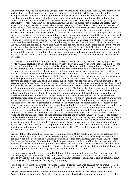and they stayed by the window while Gregor's father observed them anxiously. It really now seemed very obvious that they had expected to hear some beautiful or entertaining violin playing but had been disappointed, that they had had enough of the whole performance and it was only now out of politeness that they allowed their peace to be disturbed. It was especially unnerving, the way they all blew the smoke from their cigarettes upwards from their mouth and noses. Yet Gregor's sister was playing so beautifully. Her face was leant to one side, following the lines of music with a careful and melancholy expression. Gregor crawled a little further forward, keeping his head close to the ground so that he could meet her eyes if the chance came. Was he an animal if music could captivate him so? It seemed to him that he was being shown the way to the unknown nourishment he had been yearning for. He was determined to make his way forward to his sister and tug at her skirt to show her she might come into his room with her violin, as no-one appreciated her playing here as much as he would. He never wanted to let her out of his room, not while he lived, anyway; his shocking appearance should, for once, be of some use to him; he wanted to be at every door of his room at once to hiss and spit at the attackers; his sister should not be forced to stay with him, though, but stay of her own free will; she would sit beside him on the couch with her ear bent down to him while he told her how he had always intended to send her to the conservatory, how he would have told everyone about it last Christmas - had Christmas really come and gone already? - if this misfortune hadn't got in the way, and refuse to let anyone dissuade him from it. On hearing all this, his sister would break out in tears of emotion, and Gregor would climb up to her shoulder and kiss her neck, which, since she had been going out to work, she had kept free without any necklace or collar.

"Mr. Samsa!", shouted the middle gentleman to Gregor's father, pointing, without wasting any more words, with his forefinger at Gregor as he slowly moved forward. The violin went silent, the middle of the three gentlemen first smiled at his two friends, shaking his head, and then looked back at Gregor. His father seemed to think it more important to calm the three gentlemen before driving Gregor out, even though they were not at all upset and seemed to think Gregor was more entertaining than the violin playing had been. He rushed up to them with his arms spread out and attempted to drive them back into their room at the same time as trying to block their view of Gregor with his body. Now they did become a little annoyed, and it was not clear whether it was his father's behaviour that annoyed them or the dawning realisation that they had had a neighbour like Gregor in the next room without knowing it. They asked Gregor's father for explanations, raised their arms like he had, tugged excitedly at their beards and moved back towards their room only very slowly. Meanwhile Gregor's sister had overcome the despair she had fallen into when her playing was suddenly interrupted. She had let her hands drop and let violin and bow hang limply for a while but continued to look at the music as if still playing, but then she suddenly pulled herself together, lay the instrument on her mother's lap who still sat laboriously struggling for breath where she was, and ran into the next room which, under pressure from her father, the three gentlemen were more quickly moving toward. Under his sister's experienced hand, the pillows and covers on the beds flew up and were put into order and she had already finished making the beds and slipped out again before the three gentlemen had reached the room. Gregor's father seemed so obsessed with what he was doing that he forgot all the respect he owed to his tenants. He urged them and pressed them until, when he was already at the door of the room, the middle of the three gentlemen shouted like thunder and stamped his foot and thereby brought Gregor's father to a halt. "I declare here and now", he said, raising his hand and glancing at Gregor's mother and sister to gain their attention too, "that with regard to the repugnant conditions that prevail in this flat and with this family" - here he looked briefly but decisively at the floor - "I give immediate notice on my room. For the days that I have been living here I will, of course, pay nothing at all, on the contrary I will consider whether to proceed with some kind of action for damages from you, and believe me it would be very easy to set out the grounds for such an action." He was silent and looked straight ahead as if waiting for something. And indeed, his two friends joined in with the words: "And we also give immediate notice." With that, he took hold of the door handle and slammed the door.

Gregor's father staggered back to his seat, feeling his way with his hands, and fell into it; it looked as if he was stretching himself out for his usual evening nap but from the uncontrolled way his head kept nodding it could be seen that he was not sleeping at all. Throughout all this, Gregor had lain still where the three gentlemen had first seen him. His disappointment at the failure of his plan, and perhaps also because he was weak from hunger, made it impossible for him to move. He was sure that everyone would turn on him any moment, and he waited. He was not even startled out of this state when the violin on his mother's lap fell from her trembling fingers and landed loudly on the floor.

"Father, Mother", said his sister, hitting the table with her hand as introduction, "we can't carry on like this. Maybe you can't see it, but I can. I don't want to call this monster my brother, all I can say is: we have to try and get rid of it. We've done all that's humanly possible to look after it and be patient, I don't think anyone could accuse us of doing anything wrong."

"She's absolutely right", said Gregor's father to himself. His mother, who still had not had time to catch her breath, began to cough dully, her hand held out in front of her and a deranged expression in her eyes.

Gregor's sister rushed to his mother and put her hand on her forehead. Her words seemed to give Gregor's father some more definite ideas. He sat upright, played with his uniform cap between the plates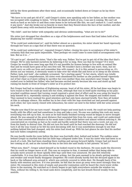left by the three gentlemen after their meal, and occasionally looked down at Gregor as he lay there immobile.

"We have to try and get rid of it", said Gregor's sister, now speaking only to her father, as her mother was too occupied with coughing to listen, "it'll be the death of both of you, I can see it coming. We can't all work as hard as we have to and then come home to be tortured like this, we can't endure it. I can't endure it any more." And she broke out so heavily in tears that they flowed down the face of her mother, and she wiped them away with mechanical hand movements.

"My child", said her father with sympathy and obvious understanding, "what are we to do?"

His sister just shrugged her shoulders as a sign of the helplessness and tears that had taken hold of her, displacing her earlier certainty.

"If he could just understand us", said his father almost as a question; his sister shook her hand vigorously through her tears as a sign that of that there was no question.

"If he could just understand us", repeated Gregor's father, closing his eyes in acceptance of his sister's certainty that that was quite impossible, "then perhaps we could come to some kind of arrangement with him. But as it is ..."

"It's got to go", shouted his sister, "that's the only way, Father. You've got to get rid of the idea that that's Gregor. We've only harmed ourselves by believing it for so long. How can that be Gregor? If it were Gregor he would have seen long ago that it's not possible for human beings to live with an animal like that and he would have gone of his own free will. We wouldn't have a brother any more, then, but we could carry on with our lives and remember him with respect. As it is this animal is persecuting us, it's driven out our tenants, it obviously wants to take over the whole flat and force us to sleep on the streets. Father, look, just look", she suddenly screamed, "he's starting again!" In her alarm, which was totally beyond Gregor's comprehension, his sister even abandoned his mother as she pushed herself vigorously out of her chair as if more willing to sacrifice her own mother than stay anywhere near Gregor. She rushed over to behind her father, who had become excited merely because she was and stood up half raising his hands in front of Gregor's sister as if to protect her.

But Gregor had had no intention of frightening anyone, least of all his sister. All he had done was begin to turn round so that he could go back into his room, although that was in itself quite startling as his painwracked condition meant that turning round required a great deal of effort and he was using his head to help himself do it, repeatedly raising it and striking it against the floor. He stopped and looked round. They seemed to have realised his good intention and had only been alarmed briefly. Now they all looked at him in unhappy silence. His mother lay in her chair with her legs stretched out and pressed against each other, her eyes nearly closed with exhaustion; his sister sat next to his father with her arms around his neck.

"Maybe now they'll let me turn round", thought Gregor and went back to work. He could not help panting loudly with the effort and had sometimes to stop and take a rest. No-one was making him rush any more, everything was left up to him. As soon as he had finally finished turning round he began to move straight ahead. He was amazed at the great distance that separated him from his room, and could not understand how he had covered that distance in his weak state a little while before and almost without noticing it. He concentrated on crawling as fast as he could and hardly noticed that there was not a word, not any cry, from his family to distract him. He did not turn his head until he had reached the doorway. He did not turn it all the way round as he felt his neck becoming stiff, but it was nonetheless enough to see that nothing behind him had changed, only his sister had stood up. With his last glance he saw that his mother had now fallen completely asleep.

He was hardly inside his room before the door was hurriedly shut, bolted and locked. The sudden noise behind Gregor so startled him that his little legs collapsed under him. It was his sister who had been in so much of a rush. She had been standing there waiting and sprung forward lightly, Gregor had not heard her coming at all, and as she turned the key in the lock she said loudly to her parents "At last!".

"What now, then?", Gregor asked himself as he looked round in the darkness. He soon made the discovery that he could no longer move at all. This was no surprise to him, it seemed rather that being able to actually move around on those spindly little legs until then was unnatural. He also felt relatively comfortable. It is true that his entire body was aching, but the pain seemed to be slowly getting weaker and weaker and would finally disappear altogether. He could already hardly feel the decayed apple in his back or the inflamed area around it, which was entirely covered in white dust. He thought back of his family with emotion and love. If it was possible, he felt that he must go away even more strongly than his sister. He remained in this state of empty and peaceful rumination until he heard the clock tower strike three in the morning. He watched as it slowly began to get light everywhere outside the window too. Then, without his willing it, his head sank down completely, and his last breath flowed weakly from his nostrils.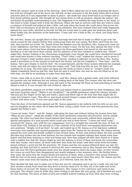When the cleaner came in early in the morning - they'd often asked her not to keep slamming the doors but with her strength and in her hurry she still did, so that everyone in the flat knew when she'd arrived and from then on it was impossible to sleep in peace - she made her usual brief look in on Gregor and at first found nothing special. She thought he was laying there so still on purpose, playing the martyr; she attributed all possible understanding to him. She happened to be holding the long broom in her hand, so she tried to tickle Gregor with it from the doorway. When she had no success with that she tried to make a nuisance of herself and poked at him a little, and only when she found she could shove him across the floor with no resistance at all did she start to pay attention. She soon realised what had really happened, opened her eyes wide, whistled to herself, but did not waste time to yank open the bedroom doors and shout loudly into the darkness of the bedrooms: "Come and 'ave a look at this, it's dead, just lying there, stone dead!"

Mr. and Mrs. Samsa sat upright there in their marriage bed and had to make an effort to get over the shock caused by the cleaner before they could grasp what she was saying. But then, each from his own side, they hurried out of bed. Mr. Samsa threw the blanket over his shoulders, Mrs. Samsa just came out in her nightdress; and that is how they went into Gregor's room. On the way they opened the door to the living room where Grete had been sleeping since the three gentlemen had moved in; she was fully dressed as if she had never been asleep, and the paleness of her face seemed to confirm this. "Dead?", asked Mrs. Samsa, looking at the charwoman enquiringly, even though she could have checked for herself and could have known it even without checking. "That's what I said", replied the cleaner, and to prove it she gave Gregor's body another shove with the broom, sending it sideways across the floor. Mrs. Samsa made a movement as if she wanted to hold back the broom, but did not complete it. "Now then", said Mr. Samsa, "let's give thanks to God for that". He crossed himself, and the three women followed his example. Grete, who had not taken her eyes from the corpse, said: "Just look how thin he was. He didn't eat anything for so long. The food came out again just the same as when it went in". Gregor's body was indeed completely dried up and flat, they had not seen it until then, but now he was not lifted up on his little legs, nor did he do anything to make them look away.

"Grete, come with us in here for a little while", said Mrs. Samsa with a pained smile, and Grete followed her parents into the bedroom but not without looking back at the body. The cleaner shut the door and opened the window wide. Although it was still early in the morning the fresh air had something of warmth mixed in with it. It was already the end of March, after all.

The three gentlemen stepped out of their room and looked round in amazement for their breakfasts; they had been forgotten about. "Where is our breakfast?", the middle gentleman asked the cleaner irritably. She just put her finger on her lips and made a quick and silent sign to the men that they might like to come into Gregor's room. They did so, and stood around Gregor's corpse with their hands in the pockets of their well-worn coats. It was now quite light in the room.

Then the door of the bedroom opened and Mr. Samsa appeared in his uniform with his wife on one arm and his daughter on the other. All of them had been crying a little; Grete now and then pressed her face against her father's arm.

"Leave my home. Now!", said Mr. Samsa, indicating the door and without letting the women from him. "What do you mean?", asked the middle of the three gentlemen somewhat disconcerted, and he smiled sweetly. The other two held their hands behind their backs and continually rubbed them together in gleeful anticipation of a loud quarrel which could only end in their favour. "I mean just what I said", answered Mr. Samsa, and, with his two companions, went in a straight line towards the man. At first, he stood there still, looking at the ground as if the contents of his head were rearranging themselves into new positions. "Alright, we'll go then", he said, and looked up at Mr. Samsa as if he had been suddenly overcome with humility and wanted permission again from Mr. Samsa for his decision. Mr. Samsa merely opened his eyes wide and briefly nodded to him several times. At that, and without delay, the man actually did take long strides into the front hallway; his two friends had stopped rubbing their hands some time before and had been listening to what was being said. Now they jumped off after their friend as if taken with a sudden fear that Mr. Samsa might go into the hallway in front of them and break the connection with their leader. Once there, all three took their hats from the stand, took their sticks from the holder, bowed without a word and left the premises. Mr. Samsa and the two women followed them out onto the landing; but they had had no reason to mistrust the men's intentions and as they leaned over the landing they saw how the three gentlemen made slow but steady progress down the many steps. As they turned the corner on each floor they disappeared and would reappear a few moments later; the further down they went, the more that the Samsa family lost interest in them; when a butcher's boy, proud of posture with his tray on his head, passed them on his way up and came nearer than they were, Mr. Samsa and the women came away from the landing and went, as if relieved, back into the flat.

They decided the best way to make use of that day was for relaxation and to go for a walk; not only had they earned a break from work but they were in serious need of it. So they sat at the table and wrote three letters of excusal, Mr. Samsa to his employers, Mrs. Samsa to her contractor and Grete to her principal. The cleaner came in while they were writing to tell them she was going, she'd finished her work for that morning. The three of them at first just nodded without looking up from what they were writing,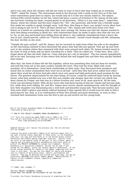and it was only when the cleaner still did not seem to want to leave that they looked up in irritation. "Well?", asked Mr. Samsa. The charwoman stood in the doorway with a smile on her face as if she had some tremendous good news to report, but would only do it if she was clearly asked to. The almost vertical little ostrich feather on her hat, which had been a source of irritation to Mr. Samsa all the time she had been working for them, swayed gently in all directions. "What is it you want then?", asked Mrs. Samsa, whom the cleaner had the most respect for. "Yes", she answered, and broke into a friendly laugh that made her unable to speak straight away, "well then, that thing in there, you needn't worry about how you're going to get rid of it. That's all been sorted out." Mrs. Samsa and Grete bent down over their letters as if intent on continuing with what they were writing; Mr. Samsa saw that the cleaner wanted to start describing everything in detail but, with outstretched hand, he made it quite clear that she was not to. So, as she was prevented from telling them all about it, she suddenly remembered what a hurry she was in and, clearly peeved, called out "Cheerio then, everyone", turned round sharply and left, slamming the door terribly as she went.

"Tonight she gets sacked", said Mr. Samsa, but he received no reply from either his wife or his daughter as the charwoman seemed to have destroyed the peace they had only just gained. They got up and went over to the window where they remained with their arms around each other. Mr. Samsa twisted round in his chair to look at them and sat there watching for a while. Then he called out: "Come here, then. Let's forget about all that old stuff, shall we. Come and give me a bit of attention". The two women immediately did as he said, hurrying over to him where they kissed him and hugged him and then they quickly finished their letters.

After that, the three of them left the flat together, which was something they had not done for months, and took the tram out to the open country outside the town. They had the tram, filled with warm sunshine, all to themselves. Leant back comfortably on their seats, they discussed their prospects and found that on closer examination they were not at all bad - until then they had never asked each other about their work but all three had jobs which were very good and held particularly good promise for the future. The greatest improvement for the time being, of course, would be achieved quite easily by moving house; what they needed now was a flat that was smaller and cheaper than the current one which had been chosen by Gregor, one that was in a better location and, most of all, more practical. All the time, Grete was becoming livelier. With all the worry they had been having of late her cheeks had become pale, but, while they were talking, Mr. and Mrs. Samsa were struck, almost simultaneously, with the thought of how their daughter was blossoming into a well built and beautiful young lady. They became quieter. Just from each other's glance and almost without knowing it they agreed that it would soon be time to find a good man for her. And, as if in confirmation of their new dreams and good intentions, as soon as they reached their destination Grete was the first to get up and stretch out her young body.

End of the Project Gutenberg EBook of Metamorphosis, by Franz Kafka Translated by David Wyllie.

\*\*\* END OF THIS PROJECT GUTENBERG EBOOK METAMORPHOSIS \*\*\*

\*\*\*\*\* This file should be named 5200-h.htm or 5200-h.zip \*\*\*\*\* This and all associated files of various formats will be found in: http://www.gutenberg.net/5/2/0/5200/

Updated editions will replace the previous one--the old editions will be renamed.

Creating the works from public domain print editions means that no one owns a United States copyright in these works, so the Foundation (and you!) can copy and distribute it in the United States without permission and without paying copyright royalties. Special rules, set forth in the General Terms of Use part of this license, apply to copying and distributing Project Gutenberg-tm electronic works to protect the PROJECT GUTENBERG-tm concept and trademark. Project Gutenberg is a registered trademark, and may not be used if you charge for the eBooks, unless you receive specific permission. If you do not charge anything for copies of this eBook, complying with the rules is very easy. You may use this eBook for nearly any purpose rules is very easy. You may use this eBook for nearly any purposuch as creation of derivative works, reports, performances and research. They may be modified and printed and given away--you may do practically ANYTHING with public domain eBooks. Redistribution is subject to the trademark license, especially commercial redistribution.

\*\*\* START: FULL LICENSE \*\*\*

THE FULL PROJECT GUTENBERG LICENSE PLEASE READ THIS BEFORE YOU DISTRIBUTE OR USE THIS WORK

To protect the Project Gutenberg-tm mission of promoting the free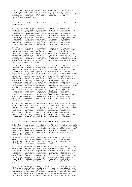distribution of electronic works, by using or distributing this work (or any other work associated in any way with the phrase "Project Gutenberg"), you agree to comply with all the terms of the Full Project Gutenberg-tm License (available with this file or online at http://gutenberg.net/license).

Section 1. General Terms of Use and Redistributing Project Gutenberg-tm electronic works

1.A. By reading or using any part of this Project Gutenberg-tm electronic work, you indicate that you have read, understand, agree to and accept all the terms of this license and intellectual property (trademark/copyright) agreement. If you do not agree to abide by all the terms of this agreement, you must cease using and return or destroy all copies of Project Gutenberg-tm electronic works in your possession. If you paid a fee for obtaining a copy of or access to a Project Gutenberg-tm electronic work and you do not agree to be bound by the terms of this agreement, you may obtain a refund from the person or entity to whom you paid the fee as set forth in paragraph 1.E.8.

"Project Gutenberg" is a registered trademark. It may only be used on or associated in any way with an electronic work by people who agree to be bound by the terms of this agreement. There are a few things that you can do with most Project Gutenberg-tm electronic works even without complying with the full terms of this agreement. See paragraph 1.C below. There are a lot of things you can do with Project Gutenberg-tm electronic works if you follow the terms of this agreement and help preserve free future access to Project Gutenberg-tm electronic works. See paragraph 1.E below.

The Project Gutenberg Literary Archive Foundation ("the Foundation" or PGLAF), owns a compilation copyright in the collection of Project Gutenberg-tm electronic works. Nearly all the individual works in the collection are in the public domain in the United States. If an individual work is in the public domain in the United States and you are located in the United States, we do not claim a right to prevent you from copying, distributing, performing, displaying or creating derivative works based on the work as long as all references to Project Gutenberg are removed. Of course, we hope that you will support the Project Gutenberg-tm mission of promoting free access to electronic works by freely sharing Project Gutenberg-tm works in compliance with the terms of this agreement for keeping the Project Gutenberg-tm name associated with the work. You can easily comply with the terms of this agreement by keeping this work in the same format with its attached full Project Gutenberg-tm License when you share it without charge with others. This particular work is one of the few copyrighted individual works included with the permission of the copyright holder. Information on the copyright owner for this particular work and the terms of use imposed by the copyright holder on this work are set forth at the beginning of this work.

1.D. The copyright laws of the place where you are located also govern what you can do with this work. Copyright laws in most countries are in a constant state of change. If you are outside the United States, check the laws of your country in addition to the terms of this agreement before downloading, copying, displaying, performing, distributing or creating derivative works based on this work or any other Project Gutenberg-tm work. The Foundation makes no representations concerning the copyright status of any work in any country outside the United States.

1.E. Unless you have removed all references to Project Gutenberg:

1.E.1. The following sentence, with active links to, or other immediate access to, the full Project Gutenberg-tm License must appear prominently whenever any copy of a Project Gutenberg-tm work (any work on which the phrase "Project Gutenberg" appears, or with which the phrase "Project Gutenberg" is associated) is accessed, displayed, performed, viewed, copied or distributed:

This eBook is for the use of anyone anywhere at no cost and with almost no restrictions whatsoever. You may copy it, give it away or re-use it under the terms of the Project Gutenberg License included with this eBook or online at www.gutenberg.net

If an individual Project Gutenberg-tm electronic work is derived from the public domain (does not contain a notice indicating that it is posted with permission of the copyright holder), the work can be copied and distributed to anyone in the United States without paying any fees or charges. If you are redistributing or providing access to a work with the phrase "Project Gutenberg" associated with or appearing on the work, you must comply either with the requirements of paragraphs 1.E.1 through 1.E.7 or obtain permission for the use of the work and the Project Gutenberg-tm trademark as set forth in paragraphs 1.E.8 or 1.E.9.

1.E.3. If an individual Project Gutenberg-tm electronic work is posted with the permission of the copyright holder, your use and distribution must comply with both paragraphs 1.E.1 through 1.E.7 and any additional terms imposed by the copyright holder. Additional terms will be linked to the Project Gutenberg-tm License for all works posted with the permission of the copyright holder found at the beginning of this work.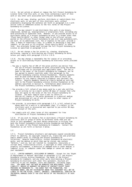1.E.4. Do not unlink or detach or remove the full Project Gutenberg-tm License terms from this work, or any files containing a part of this work or any other work associated with Project Gutenberg-tm.

1.E.5. Do not copy, display, perform, distribute or redistribute this electronic work, or any part of this electronic work, without prominently displaying the sentence set forth in paragraph 1.E.1 with active links or immediate access to the full terms of the Project Gutenberg-tm License.

1.E.6. You may convert to and distribute this work in any binary, compressed, marked up, nonproprietary or proprietary form, including any word processing or hypertext form. However, if you provide access to or distribute copies of a Project Gutenberg-tm work in a format other than "Plain Vanilla ASCII" or other format used in the official version posted on the official Project Gutenberg-tm web site (www.gutenberg.net), you must, at no additional cost, fee or expense to the user, provide a copy, a means of exporting a copy, or a means of obtaining a copy upon request, of the work in its original "Plain Vanilla ASCII" or other form. Any alternate format must include the full Project Gutenberg-tm License as specified in paragraph 1.E.1.

1.E.7. Do not charge a fee for access to, viewing, displaying, performing, copying or distributing any Project Gutenberg-tm works unless you comply with paragraph 1.E.8 or 1.E.9.

1.E.8. You may charge a reasonable fee for copies of or providing access to or distributing Project Gutenberg-tm electronic works provided that

- You pay a royalty fee of 20% of the gross profits you derive from the use of Project Gutenberg-tm works calculated using the method you already use to calculate your applicable taxes. The fee is owed to the owner of the Project Gutenberg-tm trademark, but he has agreed to donate royalties under this paragraph to the Project Gutenberg Literary Archive Foundation. Royalty payments must be paid within 60 days following each date on which you prepare (or are legally required to prepare) your periodic tax returns. Royalty payments should be clearly marked as such and sent to the Project Gutenberg Literary Archive Foundation at the address specified in Section 4, "Information about donations to the Project Gutenberg Literary Archive Foundation."
- You provide a full refund of any money paid by a user who notifies you in writing (or by e-mail) within 30 days of receipt that s/he does not agree to the terms of the full Project Gutenberg-tm License. You must require such a user to return or destroy all copies of the works possessed in a physical medium and discontinue all use of and all access to other copies of Project Gutenberg-tm works.
- You provide, in accordance with paragraph 1.F.3, a full refund of any money paid for a work or a replacement copy, if a defect in the electronic work is discovered and reported to you within 90 days of receipt of the work.
- You comply with all other terms of this agreement for free distribution of Project Gutenberg-tm works.

1.E.9. If you wish to charge a fee or distribute a Project Gutenberg-tm electronic work or group of works on different terms than are set forth in this agreement, you must obtain permission in writing from both the Project Gutenberg Literary Archive Foundation and Michael Hart, the owner of the Project Gutenberg-tm trademark. Contact the Foundation as set forth in Section 3 below.

#### 1.F.

1.F.1. Project Gutenberg volunteers and employees expend considerable effort to identify, do copyright research on, transcribe and proofread public domain works in creating the Project Gutenberg-tm collection. Despite these efforts, Project Gutenberg-tm electronic works, and the medium on which they may be stored, may contain "Defects," such as, but not limited to, incomplete, inaccurate or corrupt data, transcription errors, a copyright or other intellectual property infringement, a defective or damaged disk or other medium, a computer virus, or computer codes that damage or cannot be read by your equipment.

1.F.2. LIMITED WARRANTY, DISCLAIMER OF DAMAGES - Except for the "Right of Replacement or Refund" described in paragraph 1.F.3, the Project Gutenberg Literary Archive Foundation, the owner of the Project Gutenberg-tm trademark, and any other party distributing a Project Gutenberg-tm electronic work under this agreement, disclaim all liability to you for damages, costs and expenses, including legal fees. YOU AGREE THAT YOU HAVE NO REMEDIES FOR NEGLIGENCE, STRICT LIABILITY, BREACH OF WARRANTY OR BREACH OF CONTRACT EXCEPT THOSE PROVIDED IN PARAGRAPH F3. YOU AGREE THAT THE FOUNDATION, THE TRADEMARK OWNER, AND ANY DISTRIBUTOR UNDER THIS AGREEMENT WILL NOT BE LIABLE TO YOU FOR ACTUAL, DIRECT, INDIRECT, CONSEQUENTIAL, PUNITIVE OR INCIDENTAL DAMAGES EVEN IF YOU GIVE NOTICE OF THE POSSIBILITY OF SUCH **DAMAGE**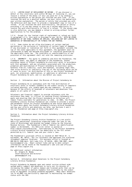1.F.3. LIMITED RIGHT OF REPLACEMENT OR REFUND - If you discover a defect in this electronic work within 90 days of receiving it, you can receive a refund of the money (if any) you paid for it by sending a written explanation to the person you received the work from. If you received the work on a physical medium, you must return the medium with your written explanation. The person or entity that provided you with the defective work may elect to provide a replacement copy in lieu of a refund. If you received the work electronically, the person or entity providing it to you may choose to give you a second opportunity to receive the work electronically in lieu of a refund. If the second copy is also defective, you may demand a refund in writing without further opportunities to fix the problem.

1.F.4. Except for the limited right of replacement or refund set forth in paragraph 1.F.3, this work is provided to you 'AS-IS,' WITH NO OTHER WARRANTIES OF ANY KIND, EXPRESS OR IMPLIED, INCLUDING BUT NOT LIMITED TO WARRANTIES OF MERCHANTIBILITY OR FITNESS FOR ANY PURPOSE.

1.F.5. Some states do not allow disclaimers of certain implied warranties or the exclusion or limitation of certain types of damages. If any disclaimer or limitation set forth in this agreement violates the law of the state applicable to this agreement, the agreement shall be interpreted to make the maximum disclaimer or limitation permitted by the applicable state law. The invalidity or unenforceability of any provision of this agreement shall not void the remaining provisions.

1.F.6. INDEMNITY - You agree to indemnify and hold the Foundation, the trademark owner, any agent or employee of the Foundation, anyone providing copies of Project Gutenberg-tm electronic works in accordance with this agreement, and any volunteers associated with the production, promotion and distribution of Project Gutenberg-tm electronic works, harmless from all liability, costs and expenses, including legal fees, that arise directly or indirectly from any of the following which you do or cause to occur: (a) distribution of this or any Project Gutenberg-tm work, (b) alteration, modification, or additions or deletions to any Project Gutenberg-tm work, and (c) any Defect you cause.

Section 2. Information about the Mission of Project Gutenberg-tm

Project Gutenberg-tm is synonymous with the free distribution of electronic works in formats readable by the widest variety of computers including obsolete, old, middle-aged and new computers. It exists because of the efforts of hundreds of volunteers and donations from people in all walks of life.

Volunteers and financial support to provide volunteers with the assistance they need, is critical to reaching Project Gutenberg-tm's goals and ensuring that the Project Gutenberg-tm collection will remain freely available for generations to come. In 2001, the Project Gutenberg Literary Archive Foundation was created to provide a secure and permanent future for Project Gutenberg-tm and future generations. To learn more about the Project Gutenberg Literary Archive Foundation and how your efforts and donations can help, see Sections 3 and 4 and the Foundation web page at http://www.pglaf.org.

Section 3. Information about the Project Gutenberg Literary Archive Foundation

The Project Gutenberg Literary Archive Foundation is a non profit  $501(c)(3)$  educational corporation organized under the laws of the state of Mississippi and granted tax exempt status by the Internal Revenue Service. The Foundation's EIN or federal tax identification number is 64-6221541. Its 501(c)(3) letter is posted at http://pglaf.org/fundraising. Contributions to the Project Gutenberg Literary Archive Foundation are tax deductible to the full extent permitted by U.S. federal laws and your state's laws.

The Foundation's principal office is located at 4557 Melan Dr. S. Fairbanks, AK, 99712., but its volunteers and employees are scattered throughout numerous locations. Its business office is located at 809 North 1500 West, Salt Lake City, UT 84116, (801) 596-1887, email business@pglaf.org. Email contact links and up to date contact information can be found at the Foundation's web site and official page at http://pglaf.org

For additional contact information: Dr. Gregory B. Newby Chief Executive and Director gbnewby@pglaf.org

Section 4. Information about Donations to the Project Gutenberg Literary Archive Foundation

Project Gutenberg-tm depends upon and cannot survive without wide spread public support and donations to carry out its mission of increasing the number of public domain and licensed works that can be freely distributed in machine readable form accessible by the widest array of equipment including outdated equipment. Many small donations (\$1 to \$5,000) are particularly important to maintaining tax exempt status with the IRS.